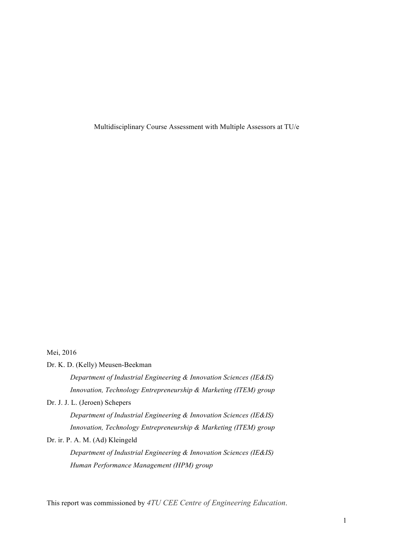Multidisciplinary Course Assessment with Multiple Assessors at TU/e

# Mei, 2016

Dr. K. D. (Kelly) Meusen-Beekman

*Department of Industrial Engineering & Innovation Sciences (IE&IS) Innovation, Technology Entrepreneurship & Marketing (ITEM) group*

Dr. J. J. L. (Jeroen) Schepers

*Department of Industrial Engineering & Innovation Sciences (IE&IS) Innovation, Technology Entrepreneurship & Marketing (ITEM) group*

Dr. ir. P. A. M. (Ad) Kleingeld

*Department of Industrial Engineering & Innovation Sciences (IE&IS) Human Performance Management (HPM) group*

This report was commissioned by *4TU CEE Centre of Engineering Education*.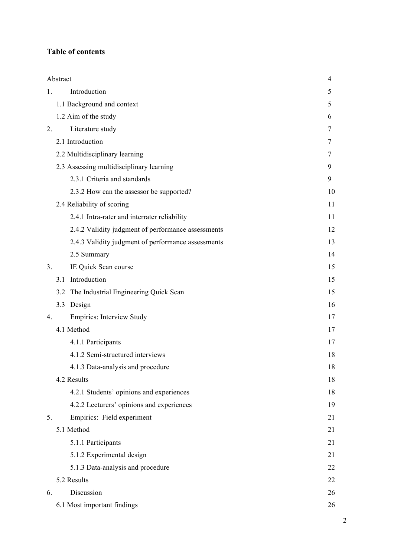# **Table of contents**

|    | Abstract                                           | 4  |
|----|----------------------------------------------------|----|
| 1. | Introduction                                       | 5  |
|    | 1.1 Background and context                         | 5  |
|    | 1.2 Aim of the study                               | 6  |
| 2. | Literature study                                   | 7  |
|    | 2.1 Introduction                                   | 7  |
|    | 2.2 Multidisciplinary learning                     | 7  |
|    | 2.3 Assessing multidisciplinary learning           | 9  |
|    | 2.3.1 Criteria and standards                       | 9  |
|    | 2.3.2 How can the assessor be supported?           | 10 |
|    | 2.4 Reliability of scoring                         | 11 |
|    | 2.4.1 Intra-rater and interrater reliability       | 11 |
|    | 2.4.2 Validity judgment of performance assessments | 12 |
|    | 2.4.3 Validity judgment of performance assessments | 13 |
|    | 2.5 Summary                                        | 14 |
| 3. | IE Quick Scan course                               | 15 |
|    | Introduction<br>3.1                                | 15 |
|    | 3.2 The Industrial Engineering Quick Scan          | 15 |
|    | 3.3 Design                                         | 16 |
| 4. | <b>Empirics: Interview Study</b>                   | 17 |
|    | 4.1 Method                                         | 17 |
|    | 4.1.1 Participants                                 | 17 |
|    | 4.1.2 Semi-structured interviews                   | 18 |
|    | 4.1.3 Data-analysis and procedure                  | 18 |
|    | 4.2 Results                                        | 18 |
|    | 4.2.1 Students' opinions and experiences           | 18 |
|    | 4.2.2 Lecturers' opinions and experiences          | 19 |
| 5. | Empirics: Field experiment                         | 21 |
|    | 5.1 Method                                         | 21 |
|    | 5.1.1 Participants                                 | 21 |
|    | 5.1.2 Experimental design                          | 21 |
|    | 5.1.3 Data-analysis and procedure                  | 22 |
|    | 5.2 Results                                        | 22 |
| 6. | Discussion                                         | 26 |
|    | 6.1 Most important findings                        | 26 |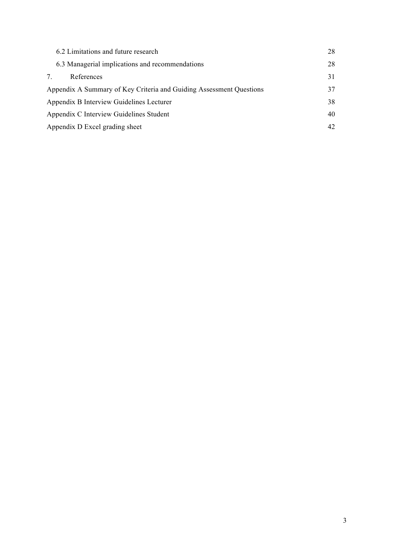| 6.2 Limitations and future research                                 | 28 |
|---------------------------------------------------------------------|----|
| 6.3 Managerial implications and recommendations                     | 28 |
| References<br>7.                                                    | 31 |
| Appendix A Summary of Key Criteria and Guiding Assessment Questions | 37 |
| Appendix B Interview Guidelines Lecturer                            | 38 |
| Appendix C Interview Guidelines Student                             | 40 |
| Appendix D Excel grading sheet                                      | 42 |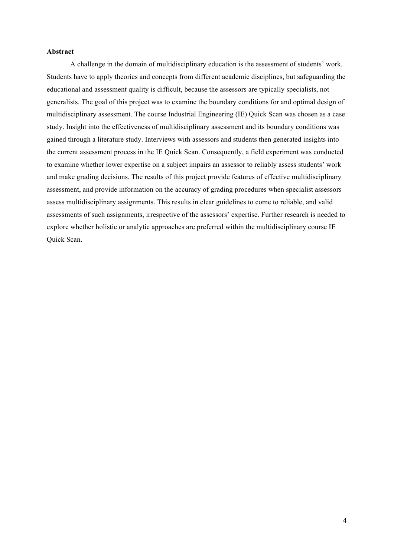#### **Abstract**

A challenge in the domain of multidisciplinary education is the assessment of students' work. Students have to apply theories and concepts from different academic disciplines, but safeguarding the educational and assessment quality is difficult, because the assessors are typically specialists, not generalists. The goal of this project was to examine the boundary conditions for and optimal design of multidisciplinary assessment. The course Industrial Engineering (IE) Quick Scan was chosen as a case study. Insight into the effectiveness of multidisciplinary assessment and its boundary conditions was gained through a literature study. Interviews with assessors and students then generated insights into the current assessment process in the IE Quick Scan. Consequently, a field experiment was conducted to examine whether lower expertise on a subject impairs an assessor to reliably assess students' work and make grading decisions. The results of this project provide features of effective multidisciplinary assessment, and provide information on the accuracy of grading procedures when specialist assessors assess multidisciplinary assignments. This results in clear guidelines to come to reliable, and valid assessments of such assignments, irrespective of the assessors' expertise. Further research is needed to explore whether holistic or analytic approaches are preferred within the multidisciplinary course IE Quick Scan.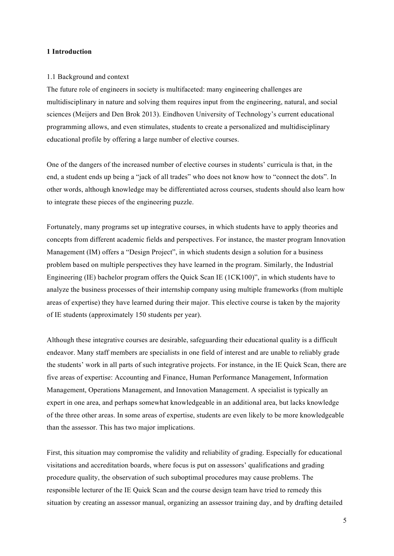# **1 Introduction**

## 1.1 Background and context

The future role of engineers in society is multifaceted: many engineering challenges are multidisciplinary in nature and solving them requires input from the engineering, natural, and social sciences (Meijers and Den Brok 2013). Eindhoven University of Technology's current educational programming allows, and even stimulates, students to create a personalized and multidisciplinary educational profile by offering a large number of elective courses.

One of the dangers of the increased number of elective courses in students' curricula is that, in the end, a student ends up being a "jack of all trades" who does not know how to "connect the dots". In other words, although knowledge may be differentiated across courses, students should also learn how to integrate these pieces of the engineering puzzle.

Fortunately, many programs set up integrative courses, in which students have to apply theories and concepts from different academic fields and perspectives. For instance, the master program Innovation Management (IM) offers a "Design Project", in which students design a solution for a business problem based on multiple perspectives they have learned in the program. Similarly, the Industrial Engineering (IE) bachelor program offers the Quick Scan IE (1CK100)", in which students have to analyze the business processes of their internship company using multiple frameworks (from multiple areas of expertise) they have learned during their major. This elective course is taken by the majority of IE students (approximately 150 students per year).

Although these integrative courses are desirable, safeguarding their educational quality is a difficult endeavor. Many staff members are specialists in one field of interest and are unable to reliably grade the students' work in all parts of such integrative projects. For instance, in the IE Quick Scan, there are five areas of expertise: Accounting and Finance, Human Performance Management, Information Management, Operations Management, and Innovation Management. A specialist is typically an expert in one area, and perhaps somewhat knowledgeable in an additional area, but lacks knowledge of the three other areas. In some areas of expertise, students are even likely to be more knowledgeable than the assessor. This has two major implications.

First, this situation may compromise the validity and reliability of grading. Especially for educational visitations and accreditation boards, where focus is put on assessors' qualifications and grading procedure quality, the observation of such suboptimal procedures may cause problems. The responsible lecturer of the IE Quick Scan and the course design team have tried to remedy this situation by creating an assessor manual, organizing an assessor training day, and by drafting detailed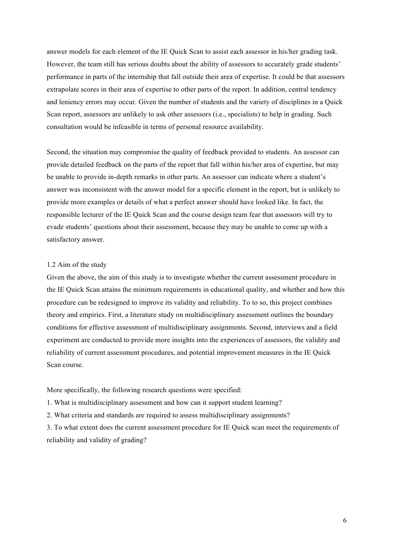answer models for each element of the IE Quick Scan to assist each assessor in his/her grading task. However, the team still has serious doubts about the ability of assessors to accurately grade students' performance in parts of the internship that fall outside their area of expertise. It could be that assessors extrapolate scores in their area of expertise to other parts of the report. In addition, central tendency and leniency errors may occur. Given the number of students and the variety of disciplines in a Quick Scan report, assessors are unlikely to ask other assessors (i.e., specialists) to help in grading. Such consultation would be infeasible in terms of personal resource availability.

Second, the situation may compromise the quality of feedback provided to students. An assessor can provide detailed feedback on the parts of the report that fall within his/her area of expertise, but may be unable to provide in-depth remarks in other parts. An assessor can indicate where a student's answer was inconsistent with the answer model for a specific element in the report, but is unlikely to provide more examples or details of what a perfect answer should have looked like. In fact, the responsible lecturer of the IE Quick Scan and the course design team fear that assessors will try to evade students' questions about their assessment, because they may be unable to come up with a satisfactory answer.

#### 1.2 Aim of the study

Given the above, the aim of this study is to investigate whether the current assessment procedure in the IE Quick Scan attains the minimum requirements in educational quality, and whether and how this procedure can be redesigned to improve its validity and reliability. To to so, this project combines theory and empirics. First, a literature study on multidisciplinary assessment outlines the boundary conditions for effective assessment of multidisciplinary assignments. Second, interviews and a field experiment are conducted to provide more insights into the experiences of assessors, the validity and reliability of current assessment procedures, and potential improvement measures in the IE Quick Scan course.

More specifically, the following research questions were specified:

1. What is multidisciplinary assessment and how can it support student learning?

2. What criteria and standards are required to assess multidisciplinary assignments?

3. To what extent does the current assessment procedure for IE Quick scan meet the requirements of reliability and validity of grading?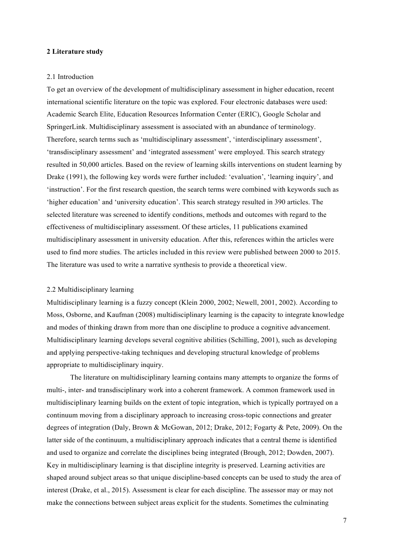## **2 Literature study**

#### 2.1 Introduction

To get an overview of the development of multidisciplinary assessment in higher education, recent international scientific literature on the topic was explored. Four electronic databases were used: Academic Search Elite, Education Resources Information Center (ERIC), Google Scholar and SpringerLink. Multidisciplinary assessment is associated with an abundance of terminology. Therefore, search terms such as 'multidisciplinary assessment', 'interdisciplinary assessment', 'transdisciplinary assessment' and 'integrated assessment' were employed. This search strategy resulted in 50,000 articles. Based on the review of learning skills interventions on student learning by Drake (1991), the following key words were further included: 'evaluation', 'learning inquiry', and 'instruction'. For the first research question, the search terms were combined with keywords such as 'higher education' and 'university education'. This search strategy resulted in 390 articles. The selected literature was screened to identify conditions, methods and outcomes with regard to the effectiveness of multidisciplinary assessment. Of these articles, 11 publications examined multidisciplinary assessment in university education. After this, references within the articles were used to find more studies. The articles included in this review were published between 2000 to 2015. The literature was used to write a narrative synthesis to provide a theoretical view.

# 2.2 Multidisciplinary learning

Multidisciplinary learning is a fuzzy concept (Klein 2000, 2002; Newell, 2001, 2002). According to Moss, Osborne, and Kaufman (2008) multidisciplinary learning is the capacity to integrate knowledge and modes of thinking drawn from more than one discipline to produce a cognitive advancement. Multidisciplinary learning develops several cognitive abilities (Schilling, 2001), such as developing and applying perspective-taking techniques and developing structural knowledge of problems appropriate to multidisciplinary inquiry.

The literature on multidisciplinary learning contains many attempts to organize the forms of multi-, inter- and transdisciplinary work into a coherent framework. A common framework used in multidisciplinary learning builds on the extent of topic integration, which is typically portrayed on a continuum moving from a disciplinary approach to increasing cross-topic connections and greater degrees of integration (Daly, Brown & McGowan, 2012; Drake, 2012; Fogarty & Pete, 2009). On the latter side of the continuum, a multidisciplinary approach indicates that a central theme is identified and used to organize and correlate the disciplines being integrated (Brough, 2012; Dowden, 2007). Key in multidisciplinary learning is that discipline integrity is preserved. Learning activities are shaped around subject areas so that unique discipline-based concepts can be used to study the area of interest (Drake, et al., 2015). Assessment is clear for each discipline. The assessor may or may not make the connections between subject areas explicit for the students. Sometimes the culminating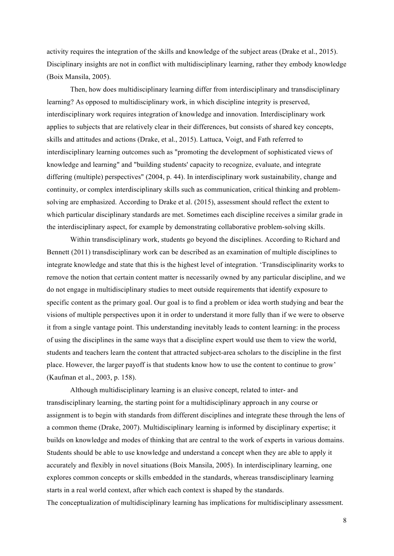activity requires the integration of the skills and knowledge of the subject areas (Drake et al., 2015). Disciplinary insights are not in conflict with multidisciplinary learning, rather they embody knowledge (Boix Mansila, 2005).

Then, how does multidisciplinary learning differ from interdisciplinary and transdisciplinary learning? As opposed to multidisciplinary work, in which discipline integrity is preserved, interdisciplinary work requires integration of knowledge and innovation. Interdisciplinary work applies to subjects that are relatively clear in their differences, but consists of shared key concepts, skills and attitudes and actions (Drake, et al., 2015). Lattuca, Voigt, and Fath referred to interdisciplinary learning outcomes such as "promoting the development of sophisticated views of knowledge and learning" and "building students' capacity to recognize, evaluate, and integrate differing (multiple) perspectives" (2004, p. 44). In interdisciplinary work sustainability, change and continuity, or complex interdisciplinary skills such as communication, critical thinking and problemsolving are emphasized. According to Drake et al. (2015), assessment should reflect the extent to which particular disciplinary standards are met. Sometimes each discipline receives a similar grade in the interdisciplinary aspect, for example by demonstrating collaborative problem-solving skills.

Within transdisciplinary work, students go beyond the disciplines. According to Richard and Bennett (2011) transdisciplinary work can be described as an examination of multiple disciplines to integrate knowledge and state that this is the highest level of integration. 'Transdisciplinarity works to remove the notion that certain content matter is necessarily owned by any particular discipline, and we do not engage in multidisciplinary studies to meet outside requirements that identify exposure to specific content as the primary goal. Our goal is to find a problem or idea worth studying and bear the visions of multiple perspectives upon it in order to understand it more fully than if we were to observe it from a single vantage point. This understanding inevitably leads to content learning: in the process of using the disciplines in the same ways that a discipline expert would use them to view the world, students and teachers learn the content that attracted subject-area scholars to the discipline in the first place. However, the larger payoff is that students know how to use the content to continue to grow' (Kaufman et al., 2003, p. 158).

Although multidisciplinary learning is an elusive concept, related to inter- and transdisciplinary learning, the starting point for a multidisciplinary approach in any course or assignment is to begin with standards from different disciplines and integrate these through the lens of a common theme (Drake, 2007). Multidisciplinary learning is informed by disciplinary expertise; it builds on knowledge and modes of thinking that are central to the work of experts in various domains. Students should be able to use knowledge and understand a concept when they are able to apply it accurately and flexibly in novel situations (Boix Mansila, 2005). In interdisciplinary learning, one explores common concepts or skills embedded in the standards, whereas transdisciplinary learning starts in a real world context, after which each context is shaped by the standards.

The conceptualization of multidisciplinary learning has implications for multidisciplinary assessment.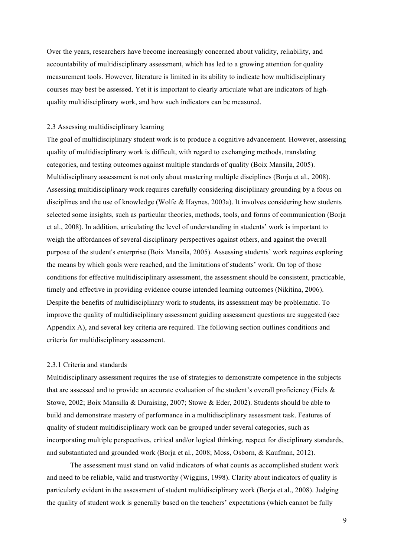Over the years, researchers have become increasingly concerned about validity, reliability, and accountability of multidisciplinary assessment, which has led to a growing attention for quality measurement tools. However, literature is limited in its ability to indicate how multidisciplinary courses may best be assessed. Yet it is important to clearly articulate what are indicators of highquality multidisciplinary work, and how such indicators can be measured.

# 2.3 Assessing multidisciplinary learning

The goal of multidisciplinary student work is to produce a cognitive advancement. However, assessing quality of multidisciplinary work is difficult, with regard to exchanging methods, translating categories, and testing outcomes against multiple standards of quality (Boix Mansila, 2005). Multidisciplinary assessment is not only about mastering multiple disciplines (Borja et al., 2008). Assessing multidisciplinary work requires carefully considering disciplinary grounding by a focus on disciplines and the use of knowledge (Wolfe & Haynes, 2003a). It involves considering how students selected some insights, such as particular theories, methods, tools, and forms of communication (Borja et al., 2008). In addition, articulating the level of understanding in students' work is important to weigh the affordances of several disciplinary perspectives against others, and against the overall purpose of the student's enterprise (Boix Mansila, 2005). Assessing students' work requires exploring the means by which goals were reached, and the limitations of students' work. On top of those conditions for effective multidisciplinary assessment, the assessment should be consistent, practicable, timely and effective in providing evidence course intended learning outcomes (Nikitina, 2006). Despite the benefits of multidisciplinary work to students, its assessment may be problematic. To improve the quality of multidisciplinary assessment guiding assessment questions are suggested (see Appendix A), and several key criteria are required. The following section outlines conditions and criteria for multidisciplinary assessment.

#### 2.3.1 Criteria and standards

Multidisciplinary assessment requires the use of strategies to demonstrate competence in the subjects that are assessed and to provide an accurate evaluation of the student's overall proficiency (Fiels  $\&$ Stowe, 2002; Boix Mansilla & Duraising, 2007; Stowe & Eder, 2002). Students should be able to build and demonstrate mastery of performance in a multidisciplinary assessment task. Features of quality of student multidisciplinary work can be grouped under several categories, such as incorporating multiple perspectives, critical and/or logical thinking, respect for disciplinary standards, and substantiated and grounded work (Borja et al., 2008; Moss, Osborn, & Kaufman, 2012).

The assessment must stand on valid indicators of what counts as accomplished student work and need to be reliable, valid and trustworthy (Wiggins, 1998). Clarity about indicators of quality is particularly evident in the assessment of student multidisciplinary work (Borja et al., 2008). Judging the quality of student work is generally based on the teachers' expectations (which cannot be fully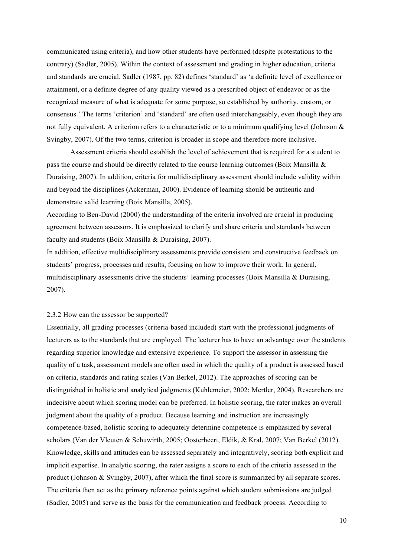communicated using criteria), and how other students have performed (despite protestations to the contrary) (Sadler, 2005). Within the context of assessment and grading in higher education, criteria and standards are crucial. Sadler (1987, pp. 82) defines 'standard' as 'a definite level of excellence or attainment, or a definite degree of any quality viewed as a prescribed object of endeavor or as the recognized measure of what is adequate for some purpose, so established by authority, custom, or consensus.' The terms 'criterion' and 'standard' are often used interchangeably, even though they are not fully equivalent. A criterion refers to a characteristic or to a minimum qualifying level (Johnson & Svingby, 2007). Of the two terms, criterion is broader in scope and therefore more inclusive.

Assessment criteria should establish the level of achievement that is required for a student to pass the course and should be directly related to the course learning outcomes (Boix Mansilla & Duraising, 2007). In addition, criteria for multidisciplinary assessment should include validity within and beyond the disciplines (Ackerman, 2000). Evidence of learning should be authentic and demonstrate valid learning (Boix Mansilla, 2005).

According to Ben-David (2000) the understanding of the criteria involved are crucial in producing agreement between assessors. It is emphasized to clarify and share criteria and standards between faculty and students (Boix Mansilla & Duraising, 2007).

In addition, effective multidisciplinary assessments provide consistent and constructive feedback on students' progress, processes and results, focusing on how to improve their work. In general, multidisciplinary assessments drive the students' learning processes (Boix Mansilla & Duraising, 2007).

#### 2.3.2 How can the assessor be supported?

Essentially, all grading processes (criteria-based included) start with the professional judgments of lecturers as to the standards that are employed. The lecturer has to have an advantage over the students regarding superior knowledge and extensive experience. To support the assessor in assessing the quality of a task, assessment models are often used in which the quality of a product is assessed based on criteria, standards and rating scales (Van Berkel, 2012). The approaches of scoring can be distinguished in holistic and analytical judgments (Kuhlemeier, 2002; Mertler, 2004). Researchers are indecisive about which scoring model can be preferred. In holistic scoring, the rater makes an overall judgment about the quality of a product. Because learning and instruction are increasingly competence-based, holistic scoring to adequately determine competence is emphasized by several scholars (Van der Vleuten & Schuwirth, 2005; Oosterheert, Eldik, & Kral, 2007; Van Berkel (2012). Knowledge, skills and attitudes can be assessed separately and integratively, scoring both explicit and implicit expertise. In analytic scoring, the rater assigns a score to each of the criteria assessed in the product (Johnson & Svingby, 2007), after which the final score is summarized by all separate scores. The criteria then act as the primary reference points against which student submissions are judged (Sadler, 2005) and serve as the basis for the communication and feedback process. According to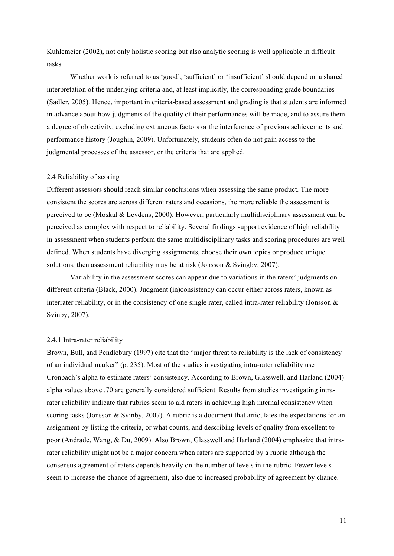Kuhlemeier (2002), not only holistic scoring but also analytic scoring is well applicable in difficult tasks.

Whether work is referred to as 'good', 'sufficient' or 'insufficient' should depend on a shared interpretation of the underlying criteria and, at least implicitly, the corresponding grade boundaries (Sadler, 2005). Hence, important in criteria-based assessment and grading is that students are informed in advance about how judgments of the quality of their performances will be made, and to assure them a degree of objectivity, excluding extraneous factors or the interference of previous achievements and performance history (Joughin, 2009). Unfortunately, students often do not gain access to the judgmental processes of the assessor, or the criteria that are applied.

# 2.4 Reliability of scoring

Different assessors should reach similar conclusions when assessing the same product. The more consistent the scores are across different raters and occasions, the more reliable the assessment is perceived to be (Moskal & Leydens, 2000). However, particularly multidisciplinary assessment can be perceived as complex with respect to reliability. Several findings support evidence of high reliability in assessment when students perform the same multidisciplinary tasks and scoring procedures are well defined. When students have diverging assignments, choose their own topics or produce unique solutions, then assessment reliability may be at risk (Jonsson & Svingby, 2007).

Variability in the assessment scores can appear due to variations in the raters' judgments on different criteria (Black, 2000). Judgment (in)consistency can occur either across raters, known as interrater reliability, or in the consistency of one single rater, called intra-rater reliability (Jonsson  $\&$ Svinby, 2007).

#### 2.4.1 Intra-rater reliability

Brown, Bull, and Pendlebury (1997) cite that the "major threat to reliability is the lack of consistency of an individual marker" (p. 235). Most of the studies investigating intra-rater reliability use Cronbach's alpha to estimate raters' consistency. According to Brown, Glasswell, and Harland (2004) alpha values above .70 are generally considered sufficient. Results from studies investigating intrarater reliability indicate that rubrics seem to aid raters in achieving high internal consistency when scoring tasks (Jonsson & Svinby, 2007). A rubric is a document that articulates the expectations for an assignment by listing the criteria, or what counts, and describing levels of quality from excellent to poor (Andrade, Wang, & Du, 2009). Also Brown, Glasswell and Harland (2004) emphasize that intrarater reliability might not be a major concern when raters are supported by a rubric although the consensus agreement of raters depends heavily on the number of levels in the rubric. Fewer levels seem to increase the chance of agreement, also due to increased probability of agreement by chance.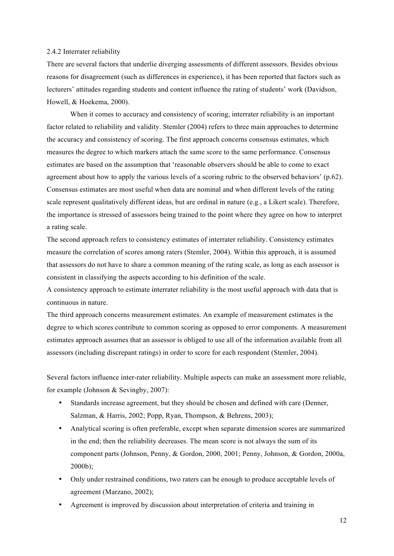#### 2.4.2 Interrater reliability

There are several factors that underlie diverging assessments of different assessors. Besides obvious reasons for disagreement (such as differences in experience), it has been reported that factors such as lecturers' attitudes regarding students and content influence the rating of students' work (Davidson, Howell, & Hoekema, 2000).

When it comes to accuracy and consistency of scoring, interrater reliability is an important factor related to reliability and validity. Stemler (2004) refers to three main approaches to determine the accuracy and consistency of scoring. The first approach concerns consensus estimates, which measures the degree to which markers attach the same score to the same performance. Consensus estimates are based on the assumption that 'reasonable observers should be able to come to exact agreement about how to apply the various levels of a scoring rubric to the observed behaviors' (p.62). Consensus estimates are most useful when data are nominal and when different levels of the rating scale represent qualitatively different ideas, but are ordinal in nature (e.g., a Likert scale). Therefore, the importance is stressed of assessors being trained to the point where they agree on how to interpret a rating scale.

The second approach refers to consistency estimates of interrater reliability. Consistency estimates measure the correlation of scores among raters (Stemler, 2004). Within this approach, it is assumed that assessors do not have to share a common meaning of the rating scale, as long as each assessor is consistent in classifying the aspects according to his definition of the scale.

A consistency approach to estimate interrater reliability is the most useful approach with data that is continuous in nature.

The third approach concerns measurement estimates. An example of measurement estimates is the degree to which scores contribute to common scoring as opposed to error components. A measurement estimates approach assumes that an assessor is obliged to use all of the information available from all assessors (including discrepant ratings) in order to score for each respondent (Stemler, 2004).

Several factors influence inter-rater reliability. Multiple aspects can make an assessment more reliable, for example (Johnson & Sevingby, 2007):

- Standards increase agreement, but they should be chosen and defined with care (Denner, Salzman, & Harris, 2002; Popp, Ryan, Thompson, & Behrens, 2003);
- Analytical scoring is often preferable, except when separate dimension scores are summarized in the end; then the reliability decreases. The mean score is not always the sum of its component parts (Johnson, Penny, & Gordon, 2000, 2001; Penny, Johnson, & Gordon, 2000a, 2000b);
- Only under restrained conditions, two raters can be enough to produce acceptable levels of agreement (Marzano, 2002);
- Agreement is improved by discussion about interpretation of criteria and training in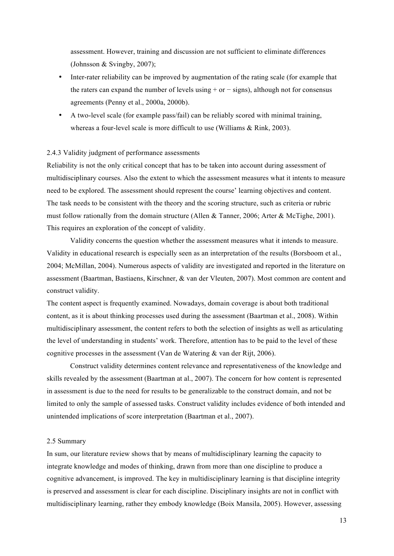assessment. However, training and discussion are not sufficient to eliminate differences (Johnsson & Svingby, 2007);

- Inter-rater reliability can be improved by augmentation of the rating scale (for example that the raters can expand the number of levels using + or − signs), although not for consensus agreements (Penny et al., 2000a, 2000b).
- A two-level scale (for example pass/fail) can be reliably scored with minimal training, whereas a four-level scale is more difficult to use (Williams & Rink, 2003).

#### 2.4.3 Validity judgment of performance assessments

Reliability is not the only critical concept that has to be taken into account during assessment of multidisciplinary courses. Also the extent to which the assessment measures what it intents to measure need to be explored. The assessment should represent the course' learning objectives and content. The task needs to be consistent with the theory and the scoring structure, such as criteria or rubric must follow rationally from the domain structure (Allen & Tanner, 2006; Arter & McTighe, 2001). This requires an exploration of the concept of validity.

Validity concerns the question whether the assessment measures what it intends to measure. Validity in educational research is especially seen as an interpretation of the results (Borsboom et al., 2004; McMillan, 2004). Numerous aspects of validity are investigated and reported in the literature on assessment (Baartman, Bastiaens, Kirschner, & van der Vleuten, 2007). Most common are content and construct validity.

The content aspect is frequently examined. Nowadays, domain coverage is about both traditional content, as it is about thinking processes used during the assessment (Baartman et al., 2008). Within multidisciplinary assessment, the content refers to both the selection of insights as well as articulating the level of understanding in students' work. Therefore, attention has to be paid to the level of these cognitive processes in the assessment (Van de Watering & van der Rijt, 2006).

Construct validity determines content relevance and representativeness of the knowledge and skills revealed by the assessment (Baartman at al., 2007). The concern for how content is represented in assessment is due to the need for results to be generalizable to the construct domain, and not be limited to only the sample of assessed tasks. Construct validity includes evidence of both intended and unintended implications of score interpretation (Baartman et al., 2007).

### 2.5 Summary

In sum, our literature review shows that by means of multidisciplinary learning the capacity to integrate knowledge and modes of thinking, drawn from more than one discipline to produce a cognitive advancement, is improved. The key in multidisciplinary learning is that discipline integrity is preserved and assessment is clear for each discipline. Disciplinary insights are not in conflict with multidisciplinary learning, rather they embody knowledge (Boix Mansila, 2005). However, assessing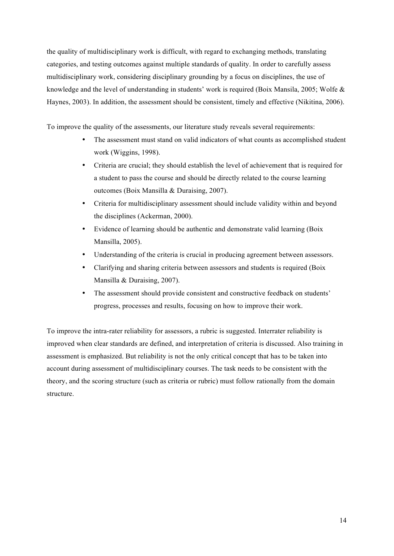the quality of multidisciplinary work is difficult, with regard to exchanging methods, translating categories, and testing outcomes against multiple standards of quality. In order to carefully assess multidisciplinary work, considering disciplinary grounding by a focus on disciplines, the use of knowledge and the level of understanding in students' work is required (Boix Mansila, 2005; Wolfe & Haynes, 2003). In addition, the assessment should be consistent, timely and effective (Nikitina, 2006).

To improve the quality of the assessments, our literature study reveals several requirements:

- The assessment must stand on valid indicators of what counts as accomplished student work (Wiggins, 1998).
- Criteria are crucial; they should establish the level of achievement that is required for a student to pass the course and should be directly related to the course learning outcomes (Boix Mansilla & Duraising, 2007).
- Criteria for multidisciplinary assessment should include validity within and beyond the disciplines (Ackerman, 2000).
- Evidence of learning should be authentic and demonstrate valid learning (Boix Mansilla, 2005).
- Understanding of the criteria is crucial in producing agreement between assessors.
- Clarifying and sharing criteria between assessors and students is required (Boix Mansilla & Duraising, 2007).
- The assessment should provide consistent and constructive feedback on students' progress, processes and results, focusing on how to improve their work.

To improve the intra-rater reliability for assessors, a rubric is suggested. Interrater reliability is improved when clear standards are defined, and interpretation of criteria is discussed. Also training in assessment is emphasized. But reliability is not the only critical concept that has to be taken into account during assessment of multidisciplinary courses. The task needs to be consistent with the theory, and the scoring structure (such as criteria or rubric) must follow rationally from the domain structure.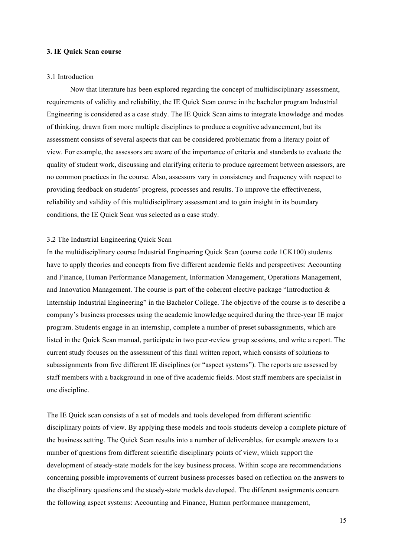# **3. IE Quick Scan course**

### 3.1 Introduction

Now that literature has been explored regarding the concept of multidisciplinary assessment, requirements of validity and reliability, the IE Quick Scan course in the bachelor program Industrial Engineering is considered as a case study. The IE Quick Scan aims to integrate knowledge and modes of thinking, drawn from more multiple disciplines to produce a cognitive advancement, but its assessment consists of several aspects that can be considered problematic from a literary point of view. For example, the assessors are aware of the importance of criteria and standards to evaluate the quality of student work, discussing and clarifying criteria to produce agreement between assessors, are no common practices in the course. Also, assessors vary in consistency and frequency with respect to providing feedback on students' progress, processes and results. To improve the effectiveness, reliability and validity of this multidisciplinary assessment and to gain insight in its boundary conditions, the IE Quick Scan was selected as a case study.

#### 3.2 The Industrial Engineering Quick Scan

In the multidisciplinary course Industrial Engineering Quick Scan (course code 1CK100) students have to apply theories and concepts from five different academic fields and perspectives: Accounting and Finance, Human Performance Management, Information Management, Operations Management, and Innovation Management. The course is part of the coherent elective package "Introduction & Internship Industrial Engineering" in the Bachelor College. The objective of the course is to describe a company's business processes using the academic knowledge acquired during the three-year IE major program. Students engage in an internship, complete a number of preset subassignments, which are listed in the Quick Scan manual, participate in two peer-review group sessions, and write a report. The current study focuses on the assessment of this final written report, which consists of solutions to subassignments from five different IE disciplines (or "aspect systems"). The reports are assessed by staff members with a background in one of five academic fields. Most staff members are specialist in one discipline.

The IE Quick scan consists of a set of models and tools developed from different scientific disciplinary points of view. By applying these models and tools students develop a complete picture of the business setting. The Quick Scan results into a number of deliverables, for example answers to a number of questions from different scientific disciplinary points of view, which support the development of steady-state models for the key business process. Within scope are recommendations concerning possible improvements of current business processes based on reflection on the answers to the disciplinary questions and the steady-state models developed. The different assignments concern the following aspect systems: Accounting and Finance, Human performance management,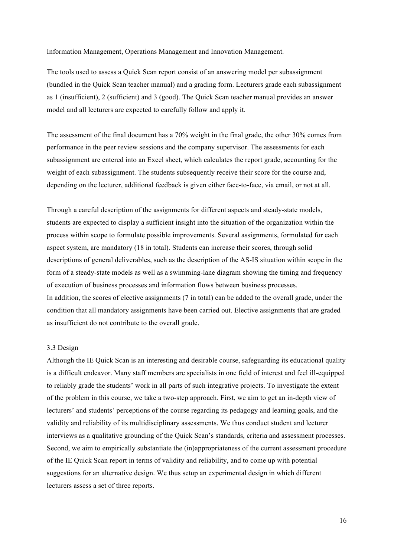Information Management, Operations Management and Innovation Management.

The tools used to assess a Quick Scan report consist of an answering model per subassignment (bundled in the Quick Scan teacher manual) and a grading form. Lecturers grade each subassignment as 1 (insufficient), 2 (sufficient) and 3 (good). The Quick Scan teacher manual provides an answer model and all lecturers are expected to carefully follow and apply it.

The assessment of the final document has a 70% weight in the final grade, the other 30% comes from performance in the peer review sessions and the company supervisor. The assessments for each subassignment are entered into an Excel sheet, which calculates the report grade, accounting for the weight of each subassignment. The students subsequently receive their score for the course and, depending on the lecturer, additional feedback is given either face-to-face, via email, or not at all.

Through a careful description of the assignments for different aspects and steady-state models, students are expected to display a sufficient insight into the situation of the organization within the process within scope to formulate possible improvements. Several assignments, formulated for each aspect system, are mandatory (18 in total). Students can increase their scores, through solid descriptions of general deliverables, such as the description of the AS-IS situation within scope in the form of a steady-state models as well as a swimming-lane diagram showing the timing and frequency of execution of business processes and information flows between business processes. In addition, the scores of elective assignments (7 in total) can be added to the overall grade, under the condition that all mandatory assignments have been carried out. Elective assignments that are graded as insufficient do not contribute to the overall grade.

# 3.3 Design

Although the IE Quick Scan is an interesting and desirable course, safeguarding its educational quality is a difficult endeavor. Many staff members are specialists in one field of interest and feel ill-equipped to reliably grade the students' work in all parts of such integrative projects. To investigate the extent of the problem in this course, we take a two-step approach. First, we aim to get an in-depth view of lecturers' and students' perceptions of the course regarding its pedagogy and learning goals, and the validity and reliability of its multidisciplinary assessments. We thus conduct student and lecturer interviews as a qualitative grounding of the Quick Scan's standards, criteria and assessment processes. Second, we aim to empirically substantiate the (in)appropriateness of the current assessment procedure of the IE Quick Scan report in terms of validity and reliability, and to come up with potential suggestions for an alternative design. We thus setup an experimental design in which different lecturers assess a set of three reports.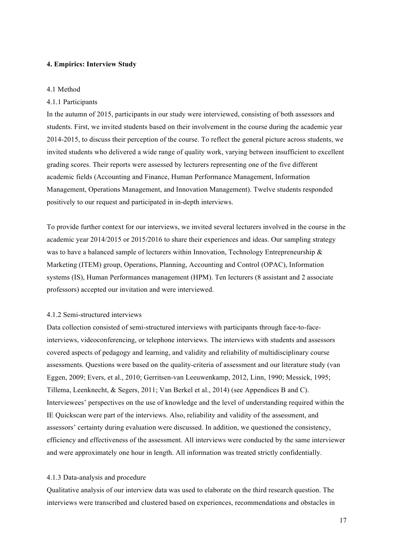### **4. Empirics: Interview Study**

#### 4.1 Method

#### 4.1.1 Participants

In the autumn of 2015, participants in our study were interviewed, consisting of both assessors and students. First, we invited students based on their involvement in the course during the academic year 2014-2015, to discuss their perception of the course. To reflect the general picture across students, we invited students who delivered a wide range of quality work, varying between insufficient to excellent grading scores. Their reports were assessed by lecturers representing one of the five different academic fields (Accounting and Finance, Human Performance Management, Information Management, Operations Management, and Innovation Management). Twelve students responded positively to our request and participated in in-depth interviews.

To provide further context for our interviews, we invited several lecturers involved in the course in the academic year 2014/2015 or 2015/2016 to share their experiences and ideas. Our sampling strategy was to have a balanced sample of lecturers within Innovation, Technology Entrepreneurship  $\&$ Marketing (ITEM) group, Operations, Planning, Accounting and Control (OPAC), Information systems (IS), Human Performances management (HPM). Ten lecturers (8 assistant and 2 associate professors) accepted our invitation and were interviewed.

# 4.1.2 Semi-structured interviews

Data collection consisted of semi-structured interviews with participants through face-to-faceinterviews, videoconferencing, or telephone interviews. The interviews with students and assessors covered aspects of pedagogy and learning, and validity and reliability of multidisciplinary course assessments. Questions were based on the quality-criteria of assessment and our literature study (van Eggen, 2009; Evers, et al., 2010; Gerritsen-van Leeuwenkamp, 2012, Linn, 1990; Messick, 1995; Tillema, Leenknecht, & Segers, 2011; Van Berkel et al., 2014) (see Appendices B and C). Interviewees' perspectives on the use of knowledge and the level of understanding required within the IE Quickscan were part of the interviews. Also, reliability and validity of the assessment, and assessors' certainty during evaluation were discussed. In addition, we questioned the consistency, efficiency and effectiveness of the assessment. All interviews were conducted by the same interviewer and were approximately one hour in length. All information was treated strictly confidentially.

#### 4.1.3 Data-analysis and procedure

Qualitative analysis of our interview data was used to elaborate on the third research question. The interviews were transcribed and clustered based on experiences, recommendations and obstacles in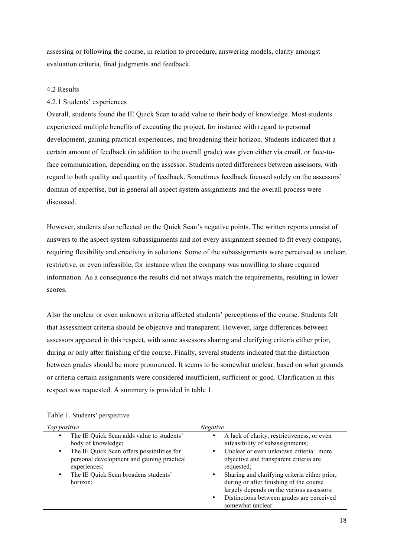assessing or following the course, in relation to procedure, answering models, clarity amongst evaluation criteria, final judgments and feedback.

# 4.2 Results

# 4.2.1 Students' experiences

Overall, students found the IE Quick Scan to add value to their body of knowledge. Most students experienced multiple benefits of executing the project, for instance with regard to personal development, gaining practical experiences, and broadening their horizon. Students indicated that a certain amount of feedback (in addition to the overall grade) was given either via email, or face-toface communication, depending on the assessor. Students noted differences between assessors, with regard to both quality and quantity of feedback. Sometimes feedback focused solely on the assessors' domain of expertise, but in general all aspect system assignments and the overall process were discussed.

However, students also reflected on the Quick Scan's negative points. The written reports consist of answers to the aspect system subassignments and not every assignment seemed to fit every company, requiring flexibility and creativity in solutions. Some of the subassignments were perceived as unclear, restrictive, or even infeasible, for instance when the company was unwilling to share required information. As a consequence the results did not always match the requirements, resulting in lower scores.

Also the unclear or even unknown criteria affected students' perceptions of the course. Students felt that assessment criteria should be objective and transparent. However, large differences between assessors appeared in this respect, with some assessors sharing and clarifying criteria either prior, during or only after finishing of the course. Finally, several students indicated that the distinction between grades should be more pronounced. It seems to be somewhat unclear, based on what grounds or criteria certain assignments were considered insufficient, sufficient or good. Clarification in this respect was requested. A summary is provided in table 1.

| Top positive<br>Negative                                                                                                                                                                                                                                                                                                                                                                                                                                                                                                                                                                                                                                                         |  |
|----------------------------------------------------------------------------------------------------------------------------------------------------------------------------------------------------------------------------------------------------------------------------------------------------------------------------------------------------------------------------------------------------------------------------------------------------------------------------------------------------------------------------------------------------------------------------------------------------------------------------------------------------------------------------------|--|
| The IE Quick Scan adds value to students'<br>A lack of clarity, restrictiveness, or even<br>$\bullet$<br>infeasibility of subassignments;<br>body of knowledge;<br>Unclear or even unknown criteria: more<br>The IE Quick Scan offers possibilities for<br>$\bullet$<br>personal development and gaining practical<br>objective and transparent criteria are<br>requested;<br>experiences;<br>The IE Quick Scan broadens students'<br>Sharing and clarifying criteria either prior,<br>٠<br>٠<br>during or after finishing of the course<br>horizon;<br>largely depends on the various assessors;<br>Distinctions between grades are perceived<br>$\bullet$<br>somewhat unclear. |  |

Table 1. Students' perspective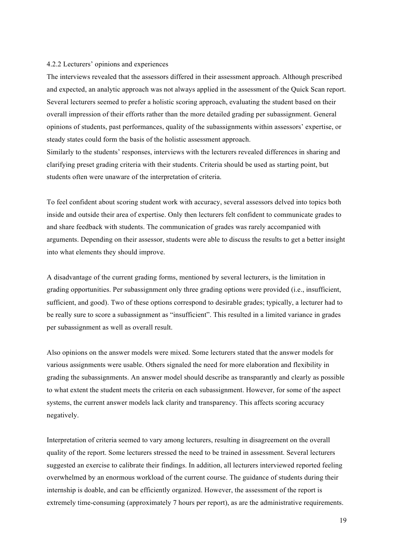#### 4.2.2 Lecturers' opinions and experiences

The interviews revealed that the assessors differed in their assessment approach. Although prescribed and expected, an analytic approach was not always applied in the assessment of the Quick Scan report. Several lecturers seemed to prefer a holistic scoring approach, evaluating the student based on their overall impression of their efforts rather than the more detailed grading per subassignment. General opinions of students, past performances, quality of the subassignments within assessors' expertise, or steady states could form the basis of the holistic assessment approach.

Similarly to the students' responses, interviews with the lecturers revealed differences in sharing and clarifying preset grading criteria with their students. Criteria should be used as starting point, but students often were unaware of the interpretation of criteria.

To feel confident about scoring student work with accuracy, several assessors delved into topics both inside and outside their area of expertise. Only then lecturers felt confident to communicate grades to and share feedback with students. The communication of grades was rarely accompanied with arguments. Depending on their assessor, students were able to discuss the results to get a better insight into what elements they should improve.

A disadvantage of the current grading forms, mentioned by several lecturers, is the limitation in grading opportunities. Per subassignment only three grading options were provided (i.e., insufficient, sufficient, and good). Two of these options correspond to desirable grades; typically, a lecturer had to be really sure to score a subassignment as "insufficient". This resulted in a limited variance in grades per subassignment as well as overall result.

Also opinions on the answer models were mixed. Some lecturers stated that the answer models for various assignments were usable. Others signaled the need for more elaboration and flexibility in grading the subassignments. An answer model should describe as transparantly and clearly as possible to what extent the student meets the criteria on each subassignment. However, for some of the aspect systems, the current answer models lack clarity and transparency. This affects scoring accuracy negatively.

Interpretation of criteria seemed to vary among lecturers, resulting in disagreement on the overall quality of the report. Some lecturers stressed the need to be trained in assessment. Several lecturers suggested an exercise to calibrate their findings. In addition, all lecturers interviewed reported feeling overwhelmed by an enormous workload of the current course. The guidance of students during their internship is doable, and can be efficiently organized. However, the assessment of the report is extremely time-consuming (approximately 7 hours per report), as are the administrative requirements.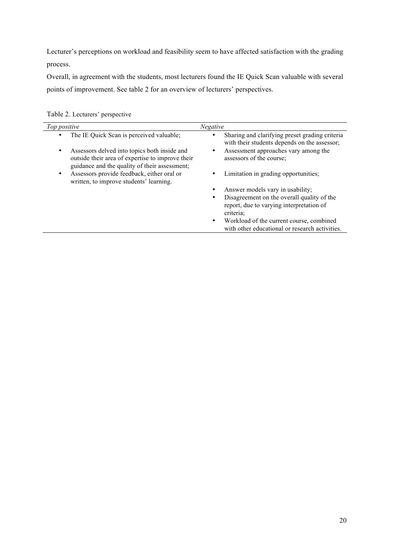Lecturer's perceptions on workload and feasibility seem to have affected satisfaction with the grading process.

Overall, in agreement with the students, most lecturers found the IE Quick Scan valuable with several points of improvement. See table 2 for an overview of lecturers' perspectives.

| Top positive |                                                                                                                                                   | <b>Negative</b>                                                                                         |
|--------------|---------------------------------------------------------------------------------------------------------------------------------------------------|---------------------------------------------------------------------------------------------------------|
|              | The IE Quick Scan is perceived valuable;                                                                                                          | Sharing and clarifying preset grading criteria<br>with their students depends on the assessor;          |
| ٠            | Assessors delved into topics both inside and<br>outside their area of expertise to improve their<br>guidance and the quality of their assessment; | Assessment approaches vary among the<br>assessors of the course;                                        |
| ٠            | Assessors provide feedback, either oral or<br>written, to improve students' learning.                                                             | Limitation in grading opportunities;                                                                    |
|              |                                                                                                                                                   | Answer models vary in usability;                                                                        |
|              |                                                                                                                                                   | Disagreement on the overall quality of the<br>report, due to varying interpretation of<br>criteria:     |
|              |                                                                                                                                                   | Workload of the current course, combined<br>$\bullet$<br>with other educational or research activities. |

Table 2. Lecturers' perspective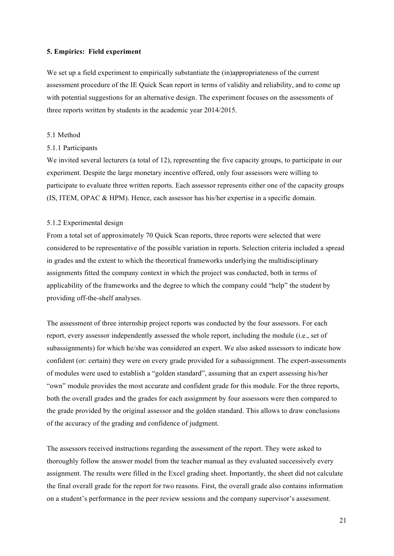#### **5. Empirics: Field experiment**

We set up a field experiment to empirically substantiate the (in)appropriateness of the current assessment procedure of the IE Quick Scan report in terms of validity and reliability, and to come up with potential suggestions for an alternative design. The experiment focuses on the assessments of three reports written by students in the academic year 2014/2015.

#### 5.1 Method

#### 5.1.1 Participants

We invited several lecturers (a total of 12), representing the five capacity groups, to participate in our experiment. Despite the large monetary incentive offered, only four assessors were willing to participate to evaluate three written reports. Each assessor represents either one of the capacity groups (IS, ITEM, OPAC & HPM). Hence, each assessor has his/her expertise in a specific domain.

## 5.1.2 Experimental design

From a total set of approximately 70 Quick Scan reports, three reports were selected that were considered to be representative of the possible variation in reports. Selection criteria included a spread in grades and the extent to which the theoretical frameworks underlying the multidisciplinary assignments fitted the company context in which the project was conducted, both in terms of applicability of the frameworks and the degree to which the company could "help" the student by providing off-the-shelf analyses.

The assessment of three internship project reports was conducted by the four assessors. For each report, every assessor independently assessed the whole report, including the module (i.e., set of subassignments) for which he/she was considered an expert. We also asked assessors to indicate how confident (or: certain) they were on every grade provided for a subassignment. The expert-assessments of modules were used to establish a "golden standard", assuming that an expert assessing his/her "own" module provides the most accurate and confident grade for this module. For the three reports, both the overall grades and the grades for each assignment by four assessors were then compared to the grade provided by the original assessor and the golden standard. This allows to draw conclusions of the accuracy of the grading and confidence of judgment.

The assessors received instructions regarding the assessment of the report. They were asked to thoroughly follow the answer model from the teacher manual as they evaluated successively every assignment. The results were filled in the Excel grading sheet. Importantly, the sheet did not calculate the final overall grade for the report for two reasons. First, the overall grade also contains information on a student's performance in the peer review sessions and the company supervisor's assessment.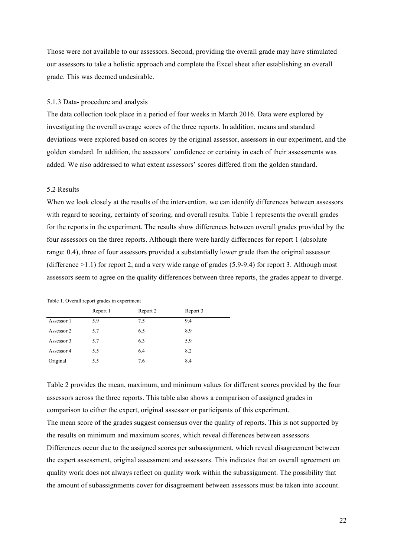Those were not available to our assessors. Second, providing the overall grade may have stimulated our assessors to take a holistic approach and complete the Excel sheet after establishing an overall grade. This was deemed undesirable.

#### 5.1.3 Data- procedure and analysis

The data collection took place in a period of four weeks in March 2016. Data were explored by investigating the overall average scores of the three reports. In addition, means and standard deviations were explored based on scores by the original assessor, assessors in our experiment, and the golden standard. In addition, the assessors' confidence or certainty in each of their assessments was added. We also addressed to what extent assessors' scores differed from the golden standard.

# 5.2 Results

When we look closely at the results of the intervention, we can identify differences between assessors with regard to scoring, certainty of scoring, and overall results. Table 1 represents the overall grades for the reports in the experiment. The results show differences between overall grades provided by the four assessors on the three reports. Although there were hardly differences for report 1 (absolute range: 0.4), three of four assessors provided a substantially lower grade than the original assessor (difference  $>1.1$ ) for report 2, and a very wide range of grades (5.9-9.4) for report 3. Although most assessors seem to agree on the quality differences between three reports, the grades appear to diverge.

| Table 1. Overall report grades in experiment |  |
|----------------------------------------------|--|
|----------------------------------------------|--|

|            | Report 1 | Report 2 | Report 3 |
|------------|----------|----------|----------|
| Assessor 1 | 5.9      | 7.5      | 9.4      |
| Assessor 2 | 5.7      | 6.5      | 8.9      |
| Assessor 3 | 5.7      | 6.3      | 5.9      |
| Assessor 4 | 5.5      | 6.4      | 8.2      |
| Original   | 5.5      | 7.6      | 8.4      |

Table 2 provides the mean, maximum, and minimum values for different scores provided by the four assessors across the three reports. This table also shows a comparison of assigned grades in comparison to either the expert, original assessor or participants of this experiment. The mean score of the grades suggest consensus over the quality of reports. This is not supported by

the results on minimum and maximum scores, which reveal differences between assessors.

Differences occur due to the assigned scores per subassignment, which reveal disagreement between the expert assessment, original assessment and assessors. This indicates that an overall agreement on quality work does not always reflect on quality work within the subassignment. The possibility that the amount of subassignments cover for disagreement between assessors must be taken into account.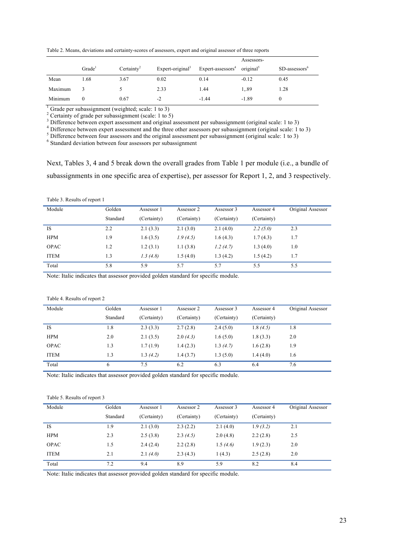Table 2. Means, deviations and certainty-scores of assessors, expert and original assessor of three reports

|         |                    |                        |                              |                                                     | Assessors- |                           |
|---------|--------------------|------------------------|------------------------------|-----------------------------------------------------|------------|---------------------------|
|         | Grade <sup>1</sup> | Certainty <sup>2</sup> | Expert-original <sup>3</sup> | Expert-assessors <sup>4</sup> original <sup>5</sup> |            | SD-assessors <sup>6</sup> |
| Mean    | 1.68               | 3.67                   | 0.02                         | 0.14                                                | $-0.12$    | 0.45                      |
| Maximum |                    |                        | 2.33                         | 1.44                                                | 1.89       | 1.28                      |
| Minimum |                    | 0.67                   | $-2$                         | $-1.44$                                             | $-1.89$    |                           |

<sup>1</sup> Grade per subassignment (weighted; scale: 1 to 3)<br>
<sup>2</sup> Certainty of grade per subassignment (scale: 1 to 5)<br>
<sup>3</sup> Difference between expert assessment and original assessment per subassignment (original scale: 1 to 3)<br>

<sup>5</sup> Difference between four assessors and the original assessment per subassignment (original scale: 1 to 3)

<sup>6</sup> Standard deviation between four assessors per subassignment

Next, Tables 3, 4 and 5 break down the overall grades from Table 1 per module (i.e., a bundle of subassignments in one specific area of expertise), per assessor for Report 1, 2, and 3 respectively.

Table 3. Results of report 1

| Module      | Golden   | Assessor 1  | Assessor 2  | Assessor 3  | Assessor 4  | Original Assessor |
|-------------|----------|-------------|-------------|-------------|-------------|-------------------|
|             | Standard | (Certainty) | (Certainty) | (Certainty) | (Certainty) |                   |
| <b>IS</b>   | 2.2      | 2.1(3.3)    | 2.1(3.0)    | 2.1(4.0)    | 2.2(5.0)    | 2.3               |
| <b>HPM</b>  | 1.9      | 1.6(3.5)    | 1.9(4.5)    | 1.6(4.3)    | 1.7(4.3)    | 1.7               |
| <b>OPAC</b> | 1.2      | 1.2(3.1)    | 1.1(3.8)    | 1.2(4.7)    | 1.3(4.0)    | 1.0               |
| <b>ITEM</b> | 1.3      | 1.3(4.8)    | 1.5(4.0)    | 1.3(4.2)    | 1.5(4.2)    | 1.7               |
| Total       | 5.8      | 5.9         | 5.7         | 5.7         | 5.5         | 5.5               |
| _ _ _ _ _   |          | .           | .           | .           |             |                   |

Note: Italic indicates that assessor provided golden standard for specific module.

#### Table 4. Results of report 2

| Module      | Golden   | Assessor 1  | Assessor 2  | Assessor 3  | Assessor 4  | Original Assessor |
|-------------|----------|-------------|-------------|-------------|-------------|-------------------|
|             | Standard | (Certainty) | (Certainty) | (Certainty) | (Certainty) |                   |
| <b>IS</b>   | 1.8      | 2.3(3.3)    | 2.7(2.8)    | 2.4(5.0)    | 1.8(4.5)    | 1.8               |
| <b>HPM</b>  | 2.0      | 2.1(3.5)    | 2.0(4.3)    | 1.6(5.0)    | 1.8(3.3)    | 2.0               |
| <b>OPAC</b> | 1.3      | 1.7(1.9)    | 1.4(2.3)    | 1.3(4.7)    | 1.6(2.8)    | 1.9               |
| <b>ITEM</b> | 1.3      | 1.3(4.2)    | 1.4(3.7)    | 1.3(5.0)    | 1.4(4.0)    | 1.6               |
| Total       | 6        | 7.5         | 6.2         | 6.3         | 6.4         | 7.6               |

Note: Italic indicates that assessor provided golden standard for specific module.

#### Table 5. Results of report 3

| Module      | Golden   | Assessor 1  | Assessor 2  | Assessor 3  | Assessor 4  | Original Assessor |
|-------------|----------|-------------|-------------|-------------|-------------|-------------------|
|             | Standard | (Certainty) | (Certainty) | (Certainty) | (Certainty) |                   |
| <b>IS</b>   | 1.9      | 2.1(3.0)    | 2.3(2.2)    | 2.1(4.0)    | 1.9(3.2)    | 2.1               |
| <b>HPM</b>  | 2.3      | 2.5(3.8)    | 2.3(4.5)    | 2.0(4.8)    | 2.2(2.8)    | 2.5               |
| <b>OPAC</b> | 1.5      | 2.4(2.4)    | 2.2(2.8)    | 1.5(4.6)    | 1.9(2.3)    | 2.0               |
| <b>ITEM</b> | 2.1      | 2.1(4.0)    | 2.3(4.3)    | 1(4.3)      | 2.5(2.8)    | 2.0               |
| Total       | 7.2      | 9.4         | 8.9         | 5.9         | 8.2         | 8.4               |

Note: Italic indicates that assessor provided golden standard for specific module.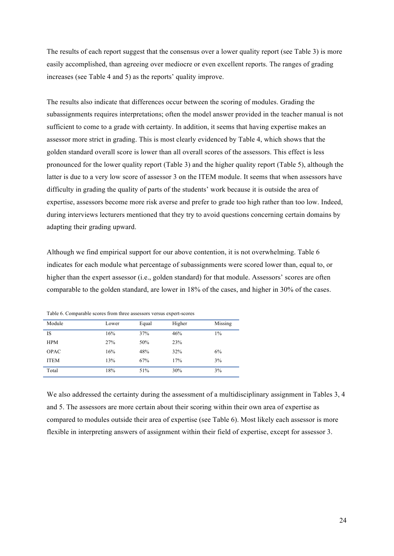The results of each report suggest that the consensus over a lower quality report (see Table 3) is more easily accomplished, than agreeing over mediocre or even excellent reports. The ranges of grading increases (see Table 4 and 5) as the reports' quality improve.

The results also indicate that differences occur between the scoring of modules. Grading the subassignments requires interpretations; often the model answer provided in the teacher manual is not sufficient to come to a grade with certainty. In addition, it seems that having expertise makes an assessor more strict in grading. This is most clearly evidenced by Table 4, which shows that the golden standard overall score is lower than all overall scores of the assessors. This effect is less pronounced for the lower quality report (Table 3) and the higher quality report (Table 5), although the latter is due to a very low score of assessor 3 on the ITEM module. It seems that when assessors have difficulty in grading the quality of parts of the students' work because it is outside the area of expertise, assessors become more risk averse and prefer to grade too high rather than too low. Indeed, during interviews lecturers mentioned that they try to avoid questions concerning certain domains by adapting their grading upward.

Although we find empirical support for our above contention, it is not overwhelming. Table 6 indicates for each module what percentage of subassignments were scored lower than, equal to, or higher than the expert assessor (i.e., golden standard) for that module. Assessors' scores are often comparable to the golden standard, are lower in 18% of the cases, and higher in 30% of the cases.

| Module      | Lower | Equal | Higher | Missing |
|-------------|-------|-------|--------|---------|
| IS          | 16%   | 37%   | 46%    | $1\%$   |
| <b>HPM</b>  | 27%   | 50%   | 23%    |         |
| OPAC        | 16%   | 48%   | 32%    | 6%      |
| <b>ITEM</b> | 13%   | 67%   | 17%    | 3%      |
| Total       | 18%   | 51%   | 30%    | 3%      |

Table 6. Comparable scores from three assessors versus expert-scores

We also addressed the certainty during the assessment of a multidisciplinary assignment in Tables 3, 4 and 5. The assessors are more certain about their scoring within their own area of expertise as compared to modules outside their area of expertise (see Table 6). Most likely each assessor is more flexible in interpreting answers of assignment within their field of expertise, except for assessor 3.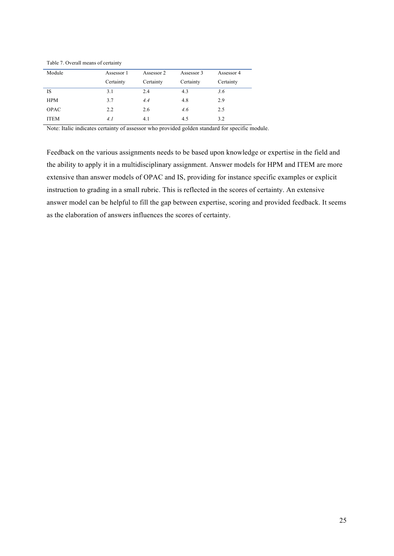| Module      | Assessor 1 | Assessor 2 | Assessor 3 | Assessor 4 |
|-------------|------------|------------|------------|------------|
|             | Certainty  | Certainty  | Certainty  | Certainty  |
| IS          | 3.1        | 2.4        | 4.3        | 3.6        |
| <b>HPM</b>  | 3.7        | 4.4        | 4.8        | 2.9        |
| <b>OPAC</b> | 2.2        | 2.6        | 4.6        | 2.5        |
| <b>ITEM</b> | 4.1        | 4.1        | 4.5        | 3.2        |

Table 7. Overall means of certainty

Note: Italic indicates certainty of assessor who provided golden standard for specific module.

Feedback on the various assignments needs to be based upon knowledge or expertise in the field and the ability to apply it in a multidisciplinary assignment. Answer models for HPM and ITEM are more extensive than answer models of OPAC and IS, providing for instance specific examples or explicit instruction to grading in a small rubric. This is reflected in the scores of certainty. An extensive answer model can be helpful to fill the gap between expertise, scoring and provided feedback. It seems as the elaboration of answers influences the scores of certainty.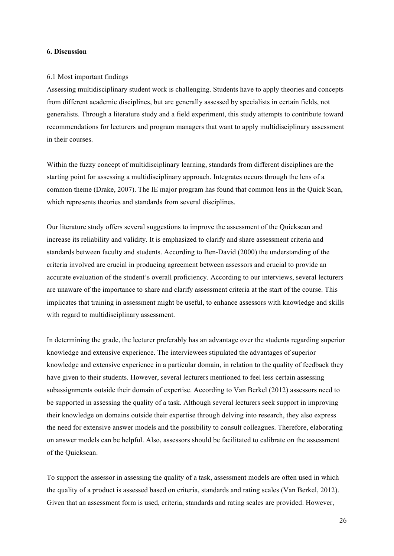#### **6. Discussion**

### 6.1 Most important findings

Assessing multidisciplinary student work is challenging. Students have to apply theories and concepts from different academic disciplines, but are generally assessed by specialists in certain fields, not generalists. Through a literature study and a field experiment, this study attempts to contribute toward recommendations for lecturers and program managers that want to apply multidisciplinary assessment in their courses.

Within the fuzzy concept of multidisciplinary learning, standards from different disciplines are the starting point for assessing a multidisciplinary approach. Integrates occurs through the lens of a common theme (Drake, 2007). The IE major program has found that common lens in the Quick Scan, which represents theories and standards from several disciplines.

Our literature study offers several suggestions to improve the assessment of the Quickscan and increase its reliability and validity. It is emphasized to clarify and share assessment criteria and standards between faculty and students. According to Ben-David (2000) the understanding of the criteria involved are crucial in producing agreement between assessors and crucial to provide an accurate evaluation of the student's overall proficiency. According to our interviews, several lecturers are unaware of the importance to share and clarify assessment criteria at the start of the course. This implicates that training in assessment might be useful, to enhance assessors with knowledge and skills with regard to multidisciplinary assessment.

In determining the grade, the lecturer preferably has an advantage over the students regarding superior knowledge and extensive experience. The interviewees stipulated the advantages of superior knowledge and extensive experience in a particular domain, in relation to the quality of feedback they have given to their students. However, several lecturers mentioned to feel less certain assessing subassignments outside their domain of expertise. According to Van Berkel (2012) assessors need to be supported in assessing the quality of a task. Although several lecturers seek support in improving their knowledge on domains outside their expertise through delving into research, they also express the need for extensive answer models and the possibility to consult colleagues. Therefore, elaborating on answer models can be helpful. Also, assessors should be facilitated to calibrate on the assessment of the Quickscan.

To support the assessor in assessing the quality of a task, assessment models are often used in which the quality of a product is assessed based on criteria, standards and rating scales (Van Berkel, 2012). Given that an assessment form is used, criteria, standards and rating scales are provided. However,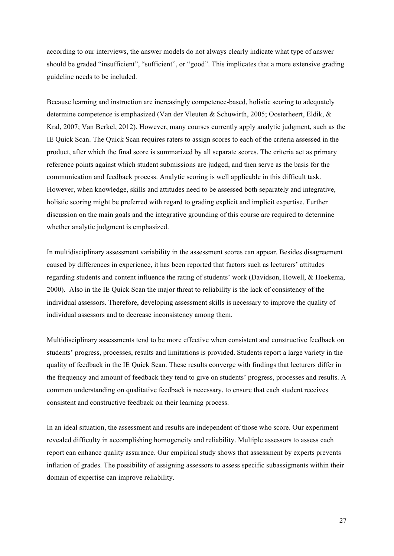according to our interviews, the answer models do not always clearly indicate what type of answer should be graded "insufficient", "sufficient", or "good". This implicates that a more extensive grading guideline needs to be included.

Because learning and instruction are increasingly competence-based, holistic scoring to adequately determine competence is emphasized (Van der Vleuten & Schuwirth, 2005; Oosterheert, Eldik, & Kral, 2007; Van Berkel, 2012). However, many courses currently apply analytic judgment, such as the IE Quick Scan. The Quick Scan requires raters to assign scores to each of the criteria assessed in the product, after which the final score is summarized by all separate scores. The criteria act as primary reference points against which student submissions are judged, and then serve as the basis for the communication and feedback process. Analytic scoring is well applicable in this difficult task. However, when knowledge, skills and attitudes need to be assessed both separately and integrative, holistic scoring might be preferred with regard to grading explicit and implicit expertise. Further discussion on the main goals and the integrative grounding of this course are required to determine whether analytic judgment is emphasized.

In multidisciplinary assessment variability in the assessment scores can appear. Besides disagreement caused by differences in experience, it has been reported that factors such as lecturers' attitudes regarding students and content influence the rating of students' work (Davidson, Howell, & Hoekema, 2000). Also in the IE Quick Scan the major threat to reliability is the lack of consistency of the individual assessors. Therefore, developing assessment skills is necessary to improve the quality of individual assessors and to decrease inconsistency among them.

Multidisciplinary assessments tend to be more effective when consistent and constructive feedback on students' progress, processes, results and limitations is provided. Students report a large variety in the quality of feedback in the IE Quick Scan. These results converge with findings that lecturers differ in the frequency and amount of feedback they tend to give on students' progress, processes and results. A common understanding on qualitative feedback is necessary, to ensure that each student receives consistent and constructive feedback on their learning process.

In an ideal situation, the assessment and results are independent of those who score. Our experiment revealed difficulty in accomplishing homogeneity and reliability. Multiple assessors to assess each report can enhance quality assurance. Our empirical study shows that assessment by experts prevents inflation of grades. The possibility of assigning assessors to assess specific subassigments within their domain of expertise can improve reliability.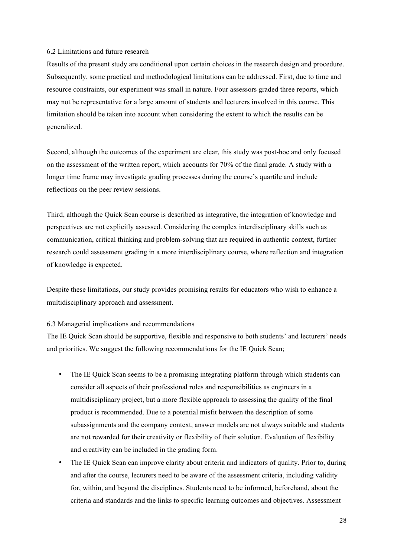#### 6.2 Limitations and future research

Results of the present study are conditional upon certain choices in the research design and procedure. Subsequently, some practical and methodological limitations can be addressed. First, due to time and resource constraints, our experiment was small in nature. Four assessors graded three reports, which may not be representative for a large amount of students and lecturers involved in this course. This limitation should be taken into account when considering the extent to which the results can be generalized.

Second, although the outcomes of the experiment are clear, this study was post-hoc and only focused on the assessment of the written report, which accounts for 70% of the final grade. A study with a longer time frame may investigate grading processes during the course's quartile and include reflections on the peer review sessions.

Third, although the Quick Scan course is described as integrative, the integration of knowledge and perspectives are not explicitly assessed. Considering the complex interdisciplinary skills such as communication, critical thinking and problem-solving that are required in authentic context, further research could assessment grading in a more interdisciplinary course, where reflection and integration of knowledge is expected.

Despite these limitations, our study provides promising results for educators who wish to enhance a multidisciplinary approach and assessment.

#### 6.3 Managerial implications and recommendations

The IE Quick Scan should be supportive, flexible and responsive to both students' and lecturers' needs and priorities. We suggest the following recommendations for the IE Quick Scan;

- The IE Quick Scan seems to be a promising integrating platform through which students can consider all aspects of their professional roles and responsibilities as engineers in a multidisciplinary project, but a more flexible approach to assessing the quality of the final product is recommended. Due to a potential misfit between the description of some subassignments and the company context, answer models are not always suitable and students are not rewarded for their creativity or flexibility of their solution. Evaluation of flexibility and creativity can be included in the grading form.
- The IE Quick Scan can improve clarity about criteria and indicators of quality. Prior to, during and after the course, lecturers need to be aware of the assessment criteria, including validity for, within, and beyond the disciplines. Students need to be informed, beforehand, about the criteria and standards and the links to specific learning outcomes and objectives. Assessment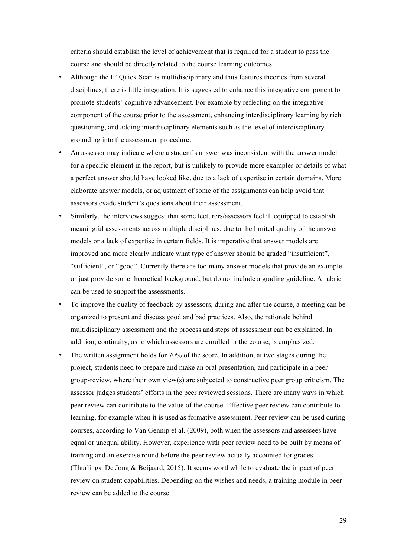criteria should establish the level of achievement that is required for a student to pass the course and should be directly related to the course learning outcomes.

- Although the IE Quick Scan is multidisciplinary and thus features theories from several disciplines, there is little integration. It is suggested to enhance this integrative component to promote students' cognitive advancement. For example by reflecting on the integrative component of the course prior to the assessment, enhancing interdisciplinary learning by rich questioning, and adding interdisciplinary elements such as the level of interdisciplinary grounding into the assessment procedure.
- An assessor may indicate where a student's answer was inconsistent with the answer model for a specific element in the report, but is unlikely to provide more examples or details of what a perfect answer should have looked like, due to a lack of expertise in certain domains. More elaborate answer models, or adjustment of some of the assignments can help avoid that assessors evade student's questions about their assessment.
- Similarly, the interviews suggest that some lecturers/assessors feel ill equipped to establish meaningful assessments across multiple disciplines, due to the limited quality of the answer models or a lack of expertise in certain fields. It is imperative that answer models are improved and more clearly indicate what type of answer should be graded "insufficient", "sufficient", or "good". Currently there are too many answer models that provide an example or just provide some theoretical background, but do not include a grading guideline. A rubric can be used to support the assessments.
- To improve the quality of feedback by assessors, during and after the course, a meeting can be organized to present and discuss good and bad practices. Also, the rationale behind multidisciplinary assessment and the process and steps of assessment can be explained. In addition, continuity, as to which assessors are enrolled in the course, is emphasized.
- The written assignment holds for 70% of the score. In addition, at two stages during the project, students need to prepare and make an oral presentation, and participate in a peer group-review, where their own view(s) are subjected to constructive peer group criticism. The assessor judges students' efforts in the peer reviewed sessions. There are many ways in which peer review can contribute to the value of the course. Effective peer review can contribute to learning, for example when it is used as formative assessment. Peer review can be used during courses, according to Van Gennip et al. (2009), both when the assessors and assessees have equal or unequal ability. However, experience with peer review need to be built by means of training and an exercise round before the peer review actually accounted for grades (Thurlings. De Jong & Beijaard, 2015). It seems worthwhile to evaluate the impact of peer review on student capabilities. Depending on the wishes and needs, a training module in peer review can be added to the course.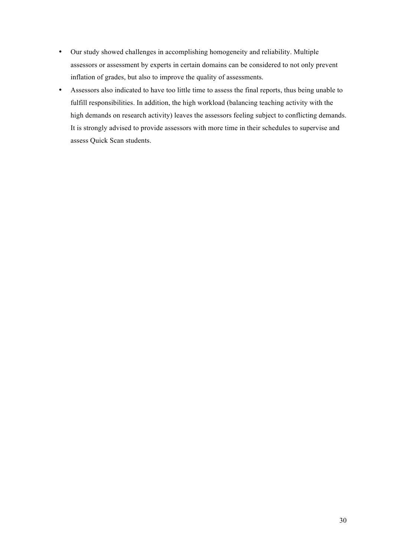- Our study showed challenges in accomplishing homogeneity and reliability. Multiple assessors or assessment by experts in certain domains can be considered to not only prevent inflation of grades, but also to improve the quality of assessments.
- Assessors also indicated to have too little time to assess the final reports, thus being unable to fulfill responsibilities. In addition, the high workload (balancing teaching activity with the high demands on research activity) leaves the assessors feeling subject to conflicting demands. It is strongly advised to provide assessors with more time in their schedules to supervise and assess Quick Scan students.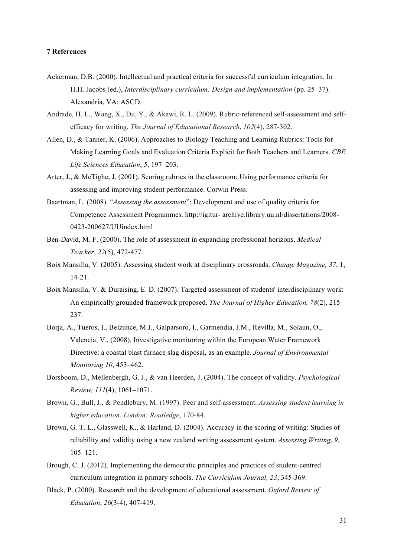## **7 References**

- Ackerman, D.B. (2000). Intellectual and practical criteria for successful curriculum integration. In H.H. Jacobs (ed.), *Interdisciplinary curriculum: Design and implementation* (pp. 25–37). Alexandria, VA: ASCD.
- Andrade, H. L., Wang, X., Du, Y., & Akawi, R. L. (2009). Rubric-referenced self-assessment and selfefficacy for writing. *The Journal of Educational Research*, *102*(4), 287-302.
- Allen, D., & Tanner, K. (2006). Approaches to Biology Teaching and Learning Rubrics: Tools for Making Learning Goals and Evaluation Criteria Explicit for Both Teachers and Learners. *CBE Life Sciences Education*, *5*, 197–203.
- Arter, J., & McTighe, J. (2001). Scoring rubrics in the classroom: Using performance criteria for assessing and improving student performance. Corwin Press.
- Baartman, L. (2008). "*Assessing the assessment*": Development and use of quality criteria for Competence Assessment Programmes. http://igitur- archive.library.uu.nl/dissertations/2008- 0423-200627/UUindex.html
- Ben-David, M. F. (2000). The role of assessment in expanding professional horizons. *Medical Teacher*, *22*(5), 472-477.
- Boix Mansilla, V. (2005). Assessing student work at disciplinary crossroads. *Change Magazine, 37*, 1, 14-21.
- Boix Mansilla, V. & Duraising, E. D. (2007). Targeted assessment of students' interdisciplinary work: An empirically grounded framework proposed. *The Journal of Higher Education, 78*(2), 215– 237.
- Borja, A., Tueros, I., Belzunce, M.J., Galparsoro, I., Garmendia, J.M., Revilla, M., Solaun, O., Valencia, V., (2008). Investigative monitoring within the European Water Framework Directive: a coastal blast furnace slag disposal, as an example. *Journal of Environmental Monitoring 10*, 453–462.
- Borsboom, D., Mellenbergh, G. J., & van Heerden, J. (2004). The concept of validity. *Psychological Review, 111*(4), 1061–1071.
- Brown, G., Bull, J., & Pendlebury, M. (1997). Peer and self-assessment. *Assessing student learning in higher education. London: Routledge*, 170-84.
- Brown, G. T. L., Glasswell, K., & Harland, D. (2004). Accuracy in the scoring of writing: Studies of reliability and validity using a new zealand writing assessment system. *Assessing Writing*, *9*, 105–121.
- Brough, C. J. (2012). Implementing the democratic principles and practices of student-centred curriculum integration in primary schools. *The Curriculum Journal, 23*, 345-369.
- Black, P. (2000). Research and the development of educational assessment. *Oxford Review of Education*, *26*(3-4), 407-419.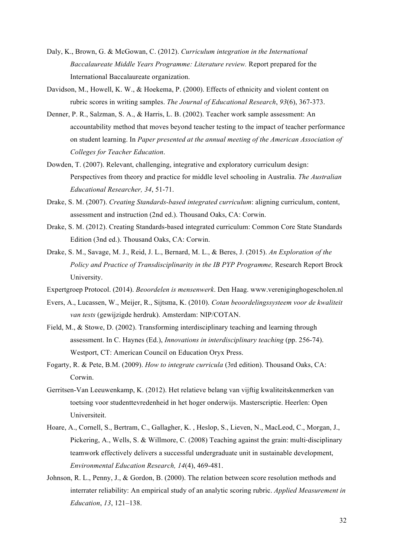- Daly, K., Brown, G. & McGowan, C. (2012). *Curriculum integration in the International Baccalaureate Middle Years Programme: Literature review.* Report prepared for the International Baccalaureate organization.
- Davidson, M., Howell, K. W., & Hoekema, P. (2000). Effects of ethnicity and violent content on rubric scores in writing samples. *The Journal of Educational Research*, *93*(6), 367-373.
- Denner, P. R., Salzman, S. A., & Harris, L. B. (2002). Teacher work sample assessment: An accountability method that moves beyond teacher testing to the impact of teacher performance on student learning. In *Paper presented at the annual meeting of the American Association of Colleges for Teacher Education*.
- Dowden, T. (2007). Relevant, challenging, integrative and exploratory curriculum design: Perspectives from theory and practice for middle level schooling in Australia. *The Australian Educational Researcher, 34*, 51-71.
- Drake, S. M. (2007). *Creating Standards-based integrated curriculum*: aligning curriculum, content, assessment and instruction (2nd ed.). Thousand Oaks, CA: Corwin.
- Drake, S. M. (2012). Creating Standards-based integrated curriculum: Common Core State Standards Edition (3nd ed.). Thousand Oaks, CA: Corwin.
- Drake, S. M., Savage, M. J., Reid, J. L., Bernard, M. L., & Beres, J. (2015). *An Exploration of the Policy and Practice of Transdisciplinarity in the IB PYP Programme,* Research Report Brock University.
- Expertgroep Protocol. (2014). *Beoordelen is mensenwerk*. Den Haag. www.vereniginghogescholen.nl
- Evers, A., Lucassen, W., Meijer, R., Sijtsma, K. (2010). *Cotan beoordelingssysteem voor de kwaliteit van tests* (gewijzigde herdruk). Amsterdam: NIP/COTAN.
- Field, M., & Stowe, D. (2002). Transforming interdisciplinary teaching and learning through assessment. In C. Haynes (Ed.), *Innovations in interdisciplinary teaching* (pp. 256-74). Westport, CT: American Council on Education Oryx Press.
- Fogarty, R. & Pete, B.M. (2009). *How to integrate curricula* (3rd edition). Thousand Oaks, CA: Corwin.
- Gerritsen-Van Leeuwenkamp, K. (2012). Het relatieve belang van vijftig kwaliteitskenmerken van toetsing voor studenttevredenheid in het hoger onderwijs. Masterscriptie. Heerlen: Open Universiteit.
- Hoare, A., Cornell, S., Bertram, C., Gallagher, K. , Heslop, S., Lieven, N., MacLeod, C., Morgan, J., Pickering, A., Wells, S. & Willmore, C. (2008) Teaching against the grain: multi‐disciplinary teamwork effectively delivers a successful undergraduate unit in sustainable development, *Environmental Education Research, 14*(4), 469-481.
- Johnson, R. L., Penny, J., & Gordon, B. (2000). The relation between score resolution methods and interrater reliability: An empirical study of an analytic scoring rubric. *Applied Measurement in Education*, *13*, 121–138.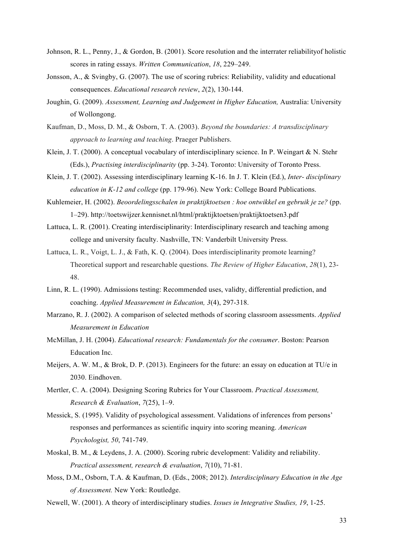- Johnson, R. L., Penny, J., & Gordon, B. (2001). Score resolution and the interrater reliabilityof holistic scores in rating essays. *Written Communication*, *18*, 229–249.
- Jonsson, A., & Svingby, G. (2007). The use of scoring rubrics: Reliability, validity and educational consequences. *Educational research review*, *2*(2), 130-144.
- Joughin, G. (2009). *Assessment, Learning and Judgement in Higher Education,* Australia: University of Wollongong.
- Kaufman, D., Moss, D. M., & Osborn, T. A. (2003). *Beyond the boundaries: A transdisciplinary approach to learning and teaching*. Praeger Publishers.
- Klein, J. T. (2000). A conceptual vocabulary of interdisciplinary science. In P. Weingart & N. Stehr (Eds.), *Practising interdisciplinarity* (pp. 3-24). Toronto: University of Toronto Press.
- Klein, J. T. (2002). Assessing interdisciplinary learning K-16. In J. T. Klein (Ed.), *Inter- disciplinary education in K-12 and college* (pp. 179-96). New York: College Board Publications.
- Kuhlemeier, H. (2002). *Beoordelingsschalen in praktijktoetsen : hoe ontwikkel en gebruik je ze?* (pp. 1–29). http://toetswijzer.kennisnet.nl/html/praktijktoetsen/praktijktoetsen3.pdf
- Lattuca, L. R. (2001). Creating interdisciplinarity: Interdisciplinary research and teaching among college and university faculty. Nashville, TN: Vanderbilt University Press.
- Lattuca, L. R., Voigt, L. J., & Fath, K. Q. (2004). Does interdisciplinarity promote learning? Theoretical support and researchable questions. *The Review of Higher Education*, *28*(1), 23- 48.
- Linn, R. L. (1990). Admissions testing: Recommended uses, validty, differential prediction, and coaching. *Applied Measurement in Education, 3*(4), 297-318.
- Marzano, R. J. (2002). A comparison of selected methods of scoring classroom assessments. *Applied Measurement in Education*
- McMillan, J. H. (2004). *Educational research: Fundamentals for the consumer*. Boston: Pearson Education Inc.
- Meijers, A. W. M., & Brok, D. P. (2013). Engineers for the future: an essay on education at TU/e in 2030. Eindhoven.
- Mertler, C. A. (2004). Designing Scoring Rubrics for Your Classroom. *Practical Assessment, Research & Evaluation*, *7*(25), 1–9.
- Messick, S. (1995). Validity of psychological assessment. Validations of inferences from persons' responses and performances as scientific inquiry into scoring meaning. *American Psychologist, 50*, 741-749.
- Moskal, B. M., & Leydens, J. A. (2000). Scoring rubric development: Validity and reliability. *Practical assessment, research & evaluation*, *7*(10), 71-81.
- Moss, D.M., Osborn, T.A. & Kaufman, D. (Eds., 2008; 2012). *Interdisciplinary Education in the Age of Assessment.* New York: Routledge.
- Newell, W. (2001). A theory of interdisciplinary studies. *Issues in Integrative Studies, 19*, 1-25.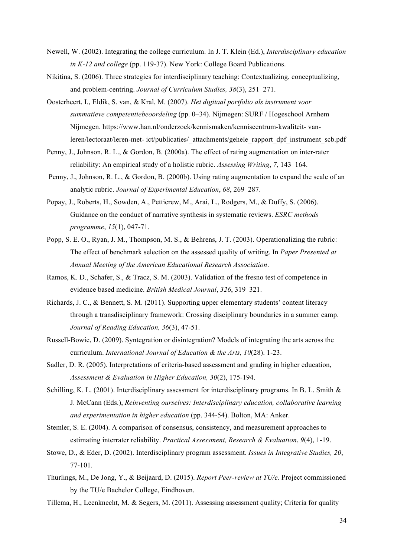- Newell, W. (2002). Integrating the college curriculum. In J. T. Klein (Ed.), *Interdisciplinary education in K-12 and college* (pp. 119-37). New York: College Board Publications.
- Nikitina, S. (2006). Three strategies for interdisciplinary teaching: Contextualizing, conceptualizing, and problem-centring. *Journal of Curriculum Studies, 38*(3), 251–271.
- Oosterheert, I., Eldik, S. van, & Kral, M. (2007). *Het digitaal portfolio als instrument voor summatieve competentiebeoordeling* (pp. 0–34). Nijmegen: SURF / Hogeschool Arnhem Nijmegen. https://www.han.nl/onderzoek/kennismaken/kenniscentrum-kwaliteit- vanleren/lectoraat/leren-met- ict/publicaties/\_attachments/gehele\_rapport\_dpf\_instrument\_scb.pdf
- Penny, J., Johnson, R. L., & Gordon, B. (2000a). The effect of rating augmentation on inter-rater reliability: An empirical study of a holistic rubric. *Assessing Writing*, *7*, 143–164.
- Penny, J., Johnson, R. L., & Gordon, B. (2000b). Using rating augmentation to expand the scale of an analytic rubric. *Journal of Experimental Education*, *68*, 269–287.
- Popay, J., Roberts, H., Sowden, A., Petticrew, M., Arai, L., Rodgers, M., & Duffy, S. (2006). Guidance on the conduct of narrative synthesis in systematic reviews. *ESRC methods programme*, *15*(1), 047-71.
- Popp, S. E. O., Ryan, J. M., Thompson, M. S., & Behrens, J. T. (2003). Operationalizing the rubric: The effect of benchmark selection on the assessed quality of writing. In *Paper Presented at Annual Meeting of the American Educational Research Association*.
- Ramos, K. D., Schafer, S., & Tracz, S. M. (2003). Validation of the fresno test of competence in evidence based medicine. *British Medical Journal*, *326*, 319–321.
- Richards, J. C., & Bennett, S. M. (2011). Supporting upper elementary students' content literacy through a transdisciplinary framework: Crossing disciplinary boundaries in a summer camp. *Journal of Reading Education, 36*(3), 47-51.
- Russell-Bowie, D. (2009). Syntegration or disintegration? Models of integrating the arts across the curriculum. *International Journal of Education & the Arts, 10*(28). 1-23.
- Sadler, D. R. (2005). Interpretations of criteria-based assessment and grading in higher education, *Assessment & Evaluation in Higher Education, 30*(2), 175-194.
- Schilling, K. L. (2001). Interdisciplinary assessment for interdisciplinary programs. In B. L. Smith & J. McCann (Eds.), *Reinventing ourselves: Interdisciplinary education, collaborative learning and experimentation in higher education* (pp. 344-54). Bolton, MA: Anker.
- Stemler, S. E. (2004). A comparison of consensus, consistency, and measurement approaches to estimating interrater reliability. *Practical Assessment, Research & Evaluation*, *9*(4), 1-19.
- Stowe, D., & Eder, D. (2002). Interdisciplinary program assessment. *Issues in Integrative Studies, 20*, 77-101.
- Thurlings, M., De Jong, Y., & Beijaard, D. (2015). *Report Peer-review at TU/e*. Project commissioned by the TU/e Bachelor College, Eindhoven.
- Tillema, H., Leenknecht, M. & Segers, M. (2011). Assessing assessment quality; Criteria for quality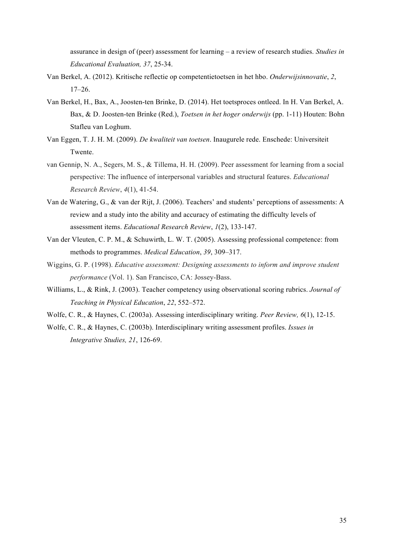assurance in design of (peer) assessment for learning – a review of research studies. *Studies in Educational Evaluation, 37*, 25-34.

- Van Berkel, A. (2012). Kritische reflectie op competentietoetsen in het hbo. *Onderwijsinnovatie*, *2*, 17–26.
- Van Berkel, H., Bax, A., Joosten-ten Brinke, D. (2014). Het toetsproces ontleed. In H. Van Berkel, A. Bax, & D. Joosten-ten Brinke (Red.), *Toetsen in het hoger onderwijs* (pp. 1-11) Houten: Bohn Stafleu van Loghum.
- Van Eggen, T. J. H. M. (2009). *De kwaliteit van toetsen*. Inaugurele rede. Enschede: Universiteit Twente.
- van Gennip, N. A., Segers, M. S., & Tillema, H. H. (2009). Peer assessment for learning from a social perspective: The influence of interpersonal variables and structural features. *Educational Research Review*, *4*(1), 41-54.
- Van de Watering, G., & van der Rijt, J. (2006). Teachers' and students' perceptions of assessments: A review and a study into the ability and accuracy of estimating the difficulty levels of assessment items. *Educational Research Review*, *1*(2), 133-147.
- Van der Vleuten, C. P. M., & Schuwirth, L. W. T. (2005). Assessing professional competence: from methods to programmes. *Medical Education*, *39*, 309–317.
- Wiggins, G. P. (1998). *Educative assessment: Designing assessments to inform and improve student performance* (Vol. 1). San Francisco, CA: Jossey-Bass.
- Williams, L., & Rink, J. (2003). Teacher competency using observational scoring rubrics. *Journal of Teaching in Physical Education*, *22*, 552–572.
- Wolfe, C. R., & Haynes, C. (2003a). Assessing interdisciplinary writing. *Peer Review, 6*(1), 12-15.
- Wolfe, C. R., & Haynes, C. (2003b). Interdisciplinary writing assessment profiles. *Issues in Integrative Studies, 21*, 126-69.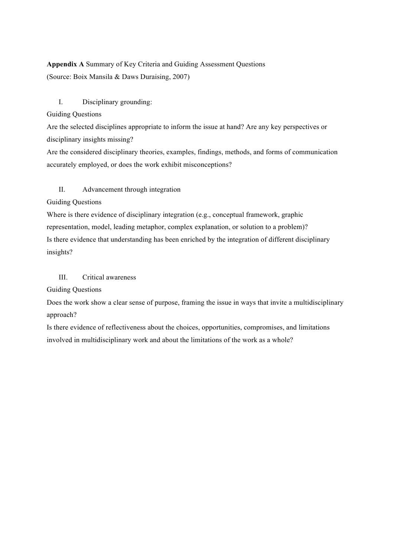# **Appendix A** Summary of Key Criteria and Guiding Assessment Questions (Source: Boix Mansila & Daws Duraising, 2007)

# I. Disciplinary grounding:

# Guiding Questions

Are the selected disciplines appropriate to inform the issue at hand? Are any key perspectives or disciplinary insights missing?

Are the considered disciplinary theories, examples, findings, methods, and forms of communication accurately employed, or does the work exhibit misconceptions?

# II. Advancement through integration

Guiding Questions

Where is there evidence of disciplinary integration (e.g., conceptual framework, graphic representation, model, leading metaphor, complex explanation, or solution to a problem)? Is there evidence that understanding has been enriched by the integration of different disciplinary insights?

# III. Critical awareness

Guiding Questions

Does the work show a clear sense of purpose, framing the issue in ways that invite a multidisciplinary approach?

Is there evidence of reflectiveness about the choices, opportunities, compromises, and limitations involved in multidisciplinary work and about the limitations of the work as a whole?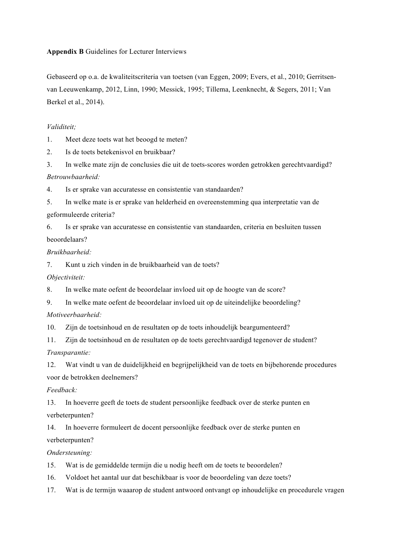# **Appendix B** Guidelines for Lecturer Interviews

Gebaseerd op o.a. de kwaliteitscriteria van toetsen (van Eggen, 2009; Evers, et al., 2010; Gerritsenvan Leeuwenkamp, 2012, Linn, 1990; Messick, 1995; Tillema, Leenknecht, & Segers, 2011; Van Berkel et al., 2014).

# *Validiteit;*

1. Meet deze toets wat het beoogd te meten?

2. Is de toets betekenisvol en bruikbaar?

3. In welke mate zijn de conclusies die uit de toets-scores worden getrokken gerechtvaardigd? *Betrouwbaarheid:*

4. Is er sprake van accuratesse en consistentie van standaarden?

5. In welke mate is er sprake van helderheid en overeenstemming qua interpretatie van de geformuleerde criteria?

6. Is er sprake van accuratesse en consistentie van standaarden, criteria en besluiten tussen beoordelaars?

# *Bruikbaarheid:*

7. Kunt u zich vinden in de bruikbaarheid van de toets?

*Objectiviteit:*

8. In welke mate oefent de beoordelaar invloed uit op de hoogte van de score?

9. In welke mate oefent de beoordelaar invloed uit op de uiteindelijke beoordeling?

*Motiveerbaarheid:*

10. Zijn de toetsinhoud en de resultaten op de toets inhoudelijk beargumenteerd?

11. Zijn de toetsinhoud en de resultaten op de toets gerechtvaardigd tegenover de student?

*Transparantie:*

12. Wat vindt u van de duidelijkheid en begrijpelijkheid van de toets en bijbehorende procedures voor de betrokken deelnemers?

# *Feedback:*

13. In hoeverre geeft de toets de student persoonlijke feedback over de sterke punten en verbeterpunten?

14. In hoeverre formuleert de docent persoonlijke feedback over de sterke punten en

verbeterpunten?

# *Ondersteuning:*

15. Wat is de gemiddelde termijn die u nodig heeft om de toets te beoordelen?

16. Voldoet het aantal uur dat beschikbaar is voor de beoordeling van deze toets?

17. Wat is de termijn waaarop de student antwoord ontvangt op inhoudelijke en procedurele vragen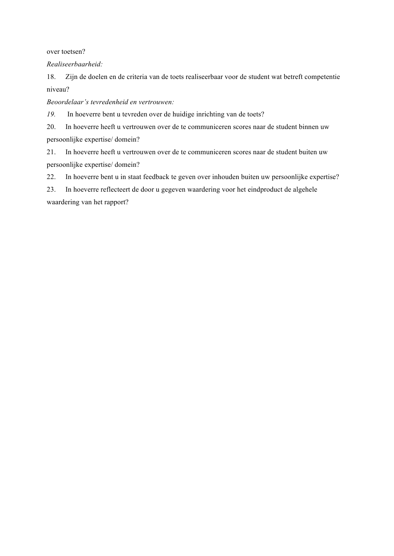over toetsen?

*Realiseerbaarheid:*

18. Zijn de doelen en de criteria van de toets realiseerbaar voor de student wat betreft competentie niveau?

*Beoordelaar's tevredenheid en vertrouwen:*

*19.* In hoeverre bent u tevreden over de huidige inrichting van de toets?

20. In hoeverre heeft u vertrouwen over de te communiceren scores naar de student binnen uw persoonlijke expertise/ domein?

21. In hoeverre heeft u vertrouwen over de te communiceren scores naar de student buiten uw persoonlijke expertise/ domein?

22. In hoeverre bent u in staat feedback te geven over inhouden buiten uw persoonlijke expertise?

23. In hoeverre reflecteert de door u gegeven waardering voor het eindproduct de algehele waardering van het rapport?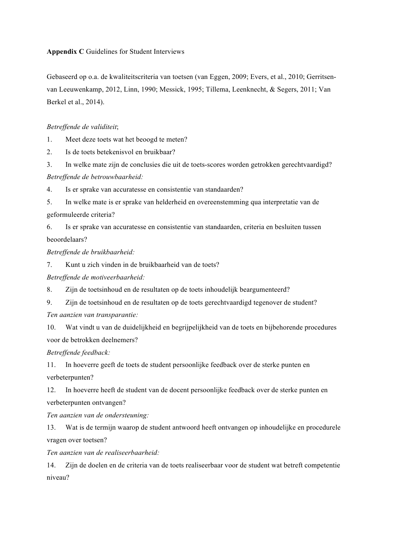# **Appendix C** Guidelines for Student Interviews

Gebaseerd op o.a. de kwaliteitscriteria van toetsen (van Eggen, 2009; Evers, et al., 2010; Gerritsenvan Leeuwenkamp, 2012, Linn, 1990; Messick, 1995; Tillema, Leenknecht, & Segers, 2011; Van Berkel et al., 2014).

# *Betreffende de validiteit*;

1. Meet deze toets wat het beoogd te meten?

2. Is de toets betekenisvol en bruikbaar?

3. In welke mate zijn de conclusies die uit de toets-scores worden getrokken gerechtvaardigd? *Betreffende de betrouwbaarheid:*

4. Is er sprake van accuratesse en consistentie van standaarden?

5. In welke mate is er sprake van helderheid en overeenstemming qua interpretatie van de geformuleerde criteria?

6. Is er sprake van accuratesse en consistentie van standaarden, criteria en besluiten tussen beoordelaars?

*Betreffende de bruikbaarheid:*

7. Kunt u zich vinden in de bruikbaarheid van de toets?

*Betreffende de motiveerbaarheid:*

8. Zijn de toetsinhoud en de resultaten op de toets inhoudelijk beargumenteerd?

9. Zijn de toetsinhoud en de resultaten op de toets gerechtvaardigd tegenover de student?

*Ten aanzien van transparantie:*

10. Wat vindt u van de duidelijkheid en begrijpelijkheid van de toets en bijbehorende procedures voor de betrokken deelnemers?

*Betreffende feedback:*

11. In hoeverre geeft de toets de student persoonlijke feedback over de sterke punten en verbeterpunten?

12. In hoeverre heeft de student van de docent persoonlijke feedback over de sterke punten en verbeterpunten ontvangen?

*Ten aanzien van de ondersteuning:*

13. Wat is de termijn waarop de student antwoord heeft ontvangen op inhoudelijke en procedurele vragen over toetsen?

*Ten aanzien van de realiseerbaarheid:*

14. Zijn de doelen en de criteria van de toets realiseerbaar voor de student wat betreft competentie niveau?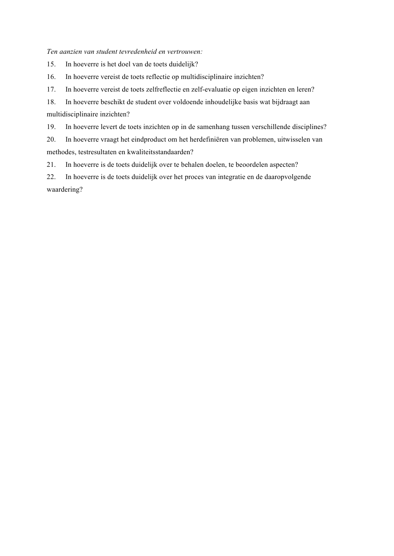*Ten aanzien van student tevredenheid en vertrouwen:*

15. In hoeverre is het doel van de toets duidelijk?

16. In hoeverre vereist de toets reflectie op multidisciplinaire inzichten?

17. In hoeverre vereist de toets zelfreflectie en zelf-evaluatie op eigen inzichten en leren?

18. In hoeverre beschikt de student over voldoende inhoudelijke basis wat bijdraagt aan multidisciplinaire inzichten?

19. In hoeverre levert de toets inzichten op in de samenhang tussen verschillende disciplines?

20. In hoeverre vraagt het eindproduct om het herdefiniëren van problemen, uitwisselen van methodes, testresultaten en kwaliteitsstandaarden?

21. In hoeverre is de toets duidelijk over te behalen doelen, te beoordelen aspecten?

22. In hoeverre is de toets duidelijk over het proces van integratie en de daaropvolgende waardering?